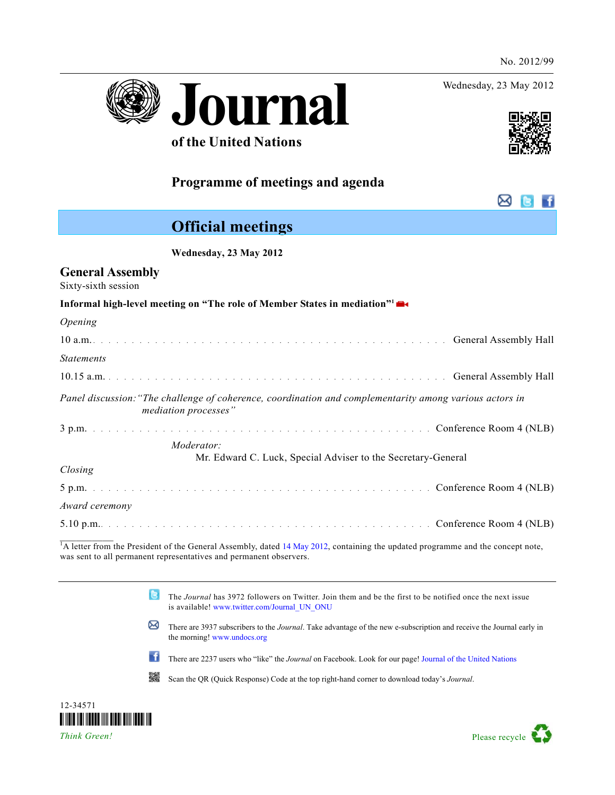Wednesday, 23 May 2012

⊠



## **of the United Nations**

## **Programme of meetings and agenda**

# **Official meetings**

 **Wednesday, 23 May 2012** 

## **General Assembly**

Sixty-sixth session

| Opening                                                                                                                         |
|---------------------------------------------------------------------------------------------------------------------------------|
|                                                                                                                                 |
| <b>Statements</b>                                                                                                               |
|                                                                                                                                 |
| Panel discussion: "The challenge of coherence, coordination and complementarity among various actors in<br>mediation processes" |
|                                                                                                                                 |
| Moderator:                                                                                                                      |
| Mr. Edward C. Luck, Special Adviser to the Secretary-General                                                                    |
| Closing                                                                                                                         |
|                                                                                                                                 |
| Award ceremony                                                                                                                  |
|                                                                                                                                 |

<sup>1</sup>A letter from the President of the General Assembly, dated [14 May 2012,](http://www.un.org/en/ga/president/66/Letters/PDF/Mediation%20High%20Level%20meeting%20-PGA%20letter%2014%20May%202012.pdf) containing the updated programme and the concept note, was sent to all permanent representatives and permanent observers.

> **G** The *Journal* has 3972 followers on Twitter. Join them and be the first to be notified once the next issue is available! [www.twitter.com/Journal\\_UN\\_ONU](http://www.twitter.com/Journal_UN_ONU)

- ⊠ There are 3937 subscribers to the *Journal*. Take advantage of the new e-subscription and receive the Journal early in the morning! [www.undocs.org](http://www.undocs.org/)
- ₩f There are 2237 users who "like" the *Journal* on Facebook. Look for our page! [Journal of the United Nations](http://www.facebook.com/pages/Journal-of-the-United-Nations-Journal-des-Nations-Unies/112981515395411)

驧 Scan the QR (Quick Response) Code at the top right-hand corner to download today^s *Journal*.



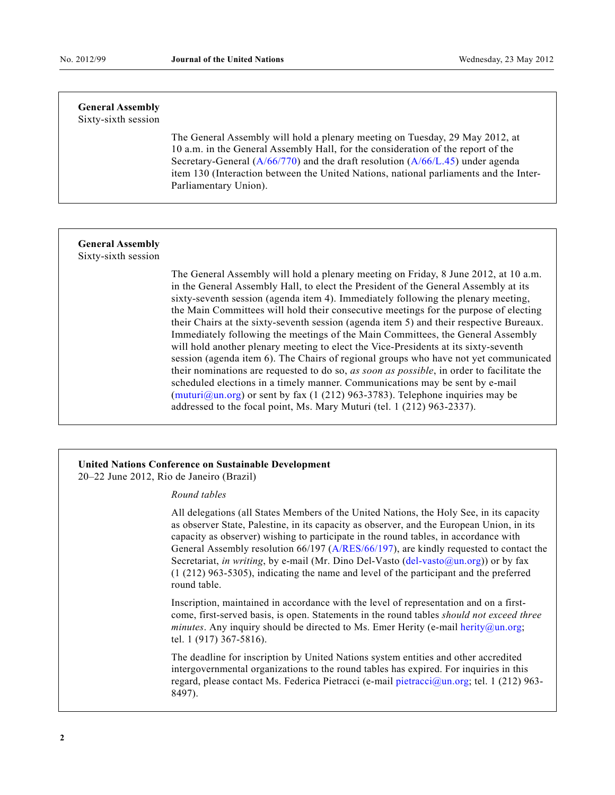## **General Assembly**

Sixty-sixth session

 The General Assembly will hold a plenary meeting on Tuesday, 29 May 2012, at 10 a.m. in the General Assembly Hall, for the consideration of the report of the Secretary-General [\(A/66/770\)](http://undocs.org/A/66/770) and the draft resolution [\(A/66/L.45](http://undocs.org/A/66/L.45)) under agenda item 130 (Interaction between the United Nations, national parliaments and the Inter-Parliamentary Union).

### **General Assembly**

Sixty-sixth session

 The General Assembly will hold a plenary meeting on Friday, 8 June 2012, at 10 a.m. in the General Assembly Hall, to elect the President of the General Assembly at its sixty-seventh session (agenda item 4). Immediately following the plenary meeting, the Main Committees will hold their consecutive meetings for the purpose of electing their Chairs at the sixty-seventh session (agenda item 5) and their respective Bureaux. Immediately following the meetings of the Main Committees, the General Assembly will hold another plenary meeting to elect the Vice-Presidents at its sixty-seventh session (agenda item 6). The Chairs of regional groups who have not yet communicated their nominations are requested to do so, *as soon as possible*, in order to facilitate the scheduled elections in a timely manner. Communications may be sent by e-mail  $(\text{muturi@un.org})$  or sent by fax (1 (212) 963-3783). Telephone inquiries may be addressed to the focal point, Ms. Mary Muturi (tel. 1 (212) 963-2337).

#### **United Nations Conference on Sustainable Development**  20–22 June 2012, Rio de Janeiro (Brazil)

### *Round tables*

 All delegations (all States Members of the United Nations, the Holy See, in its capacity as observer State, Palestine, in its capacity as observer, and the European Union, in its capacity as observer) wishing to participate in the round tables, in accordance with General Assembly resolution 66/197 ([A/RES/66/197\)](http://undocs.org/A/RES/66/197), are kindly requested to contact the Secretariat, *in writing*, by e-mail (Mr. Dino Del-Vasto (del-vasto @un.org)) or by fax (1 (212) 963-5305), indicating the name and level of the participant and the preferred round table.

 Inscription, maintained in accordance with the level of representation and on a firstcome, first-served basis, is open. Statements in the round tables *should not exceed three minutes*. Any inquiry should be directed to Ms. Emer Herity (e-mail herity  $\omega$ un.org; tel. 1 (917) 367-5816).

 The deadline for inscription by United Nations system entities and other accredited intergovernmental organizations to the round tables has expired. For inquiries in this regard, please contact Ms. Federica Pietracci (e-mail pietracci $\alpha$ un.org; tel. 1 (212) 963-8497).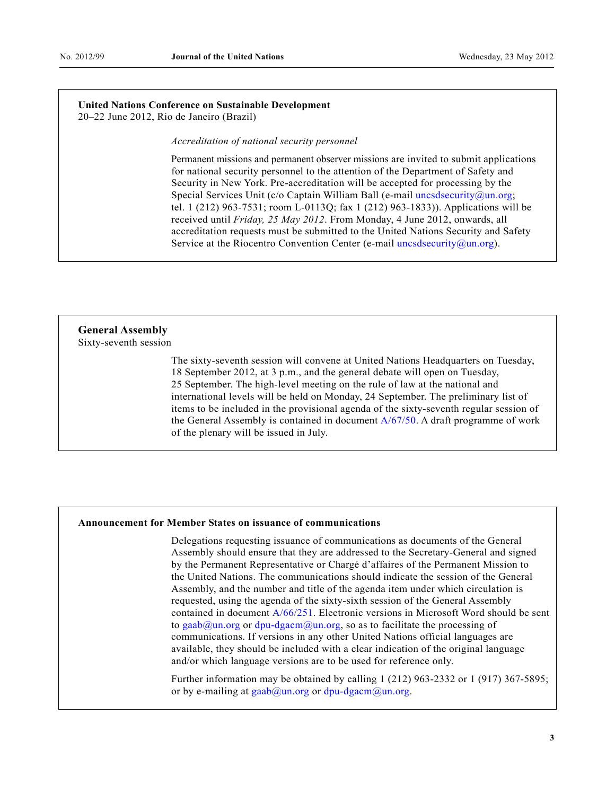#### **United Nations Conference on Sustainable Development**  20–22 June 2012, Rio de Janeiro (Brazil)

*Accreditation of national security personnel* 

 Permanent missions and permanent observer missions are invited to submit applications for national security personnel to the attention of the Department of Safety and Security in New York. Pre-accreditation will be accepted for processing by the Special Services Unit (c/o Captain William Ball (e-mail [uncsdsecurity@un.org](mailto:uncsdsecurity@un.org); tel. 1 (212) 963-7531; room L-0113Q; fax 1 (212) 963-1833)). Applications will be received until *Friday, 25 May 2012*. From Monday, 4 June 2012, onwards, all accreditation requests must be submitted to the United Nations Security and Safety Service at the Riocentro Convention Center (e-mail uncsdsecurity $(\partial_{\mu}un.org)$ ).

## **General Assembly**

Sixty-seventh session

 The sixty-seventh session will convene at United Nations Headquarters on Tuesday, 18 September 2012, at 3 p.m., and the general debate will open on Tuesday, 25 September. The high-level meeting on the rule of law at the national and international levels will be held on Monday, 24 September. The preliminary list of items to be included in the provisional agenda of the sixty-seventh regular session of the General Assembly is contained in document [A/67/50](http://undocs.org/A/67/50). A draft programme of work of the plenary will be issued in July.

### **Announcement for Member States on issuance of communications**

 Delegations requesting issuance of communications as documents of the General Assembly should ensure that they are addressed to the Secretary-General and signed by the Permanent Representative or Chargé d^affaires of the Permanent Mission to the United Nations. The communications should indicate the session of the General Assembly, and the number and title of the agenda item under which circulation is requested, using the agenda of the sixty-sixth session of the General Assembly contained in document [A/66/251.](http://undocs.org/A/66/251) Electronic versions in Microsoft Word should be sent to [gaab@un.org](mailto:gaab@un.org) or [dpu-dgacm@un.org](mailto:dpu-dgacm@un.org), so as to facilitate the processing of communications. If versions in any other United Nations official languages are available, they should be included with a clear indication of the original language and/or which language versions are to be used for reference only.

 Further information may be obtained by calling 1 (212) 963-2332 or 1 (917) 367-5895; or by e-mailing at  $\text{gaab}(\partial_\mu u \cdot \text{org} \cdot \text{or} \, d\mu \cdot \text{dgacm}(\partial_\mu u \cdot \text{org} \cdot \text{or} \, d\mu))$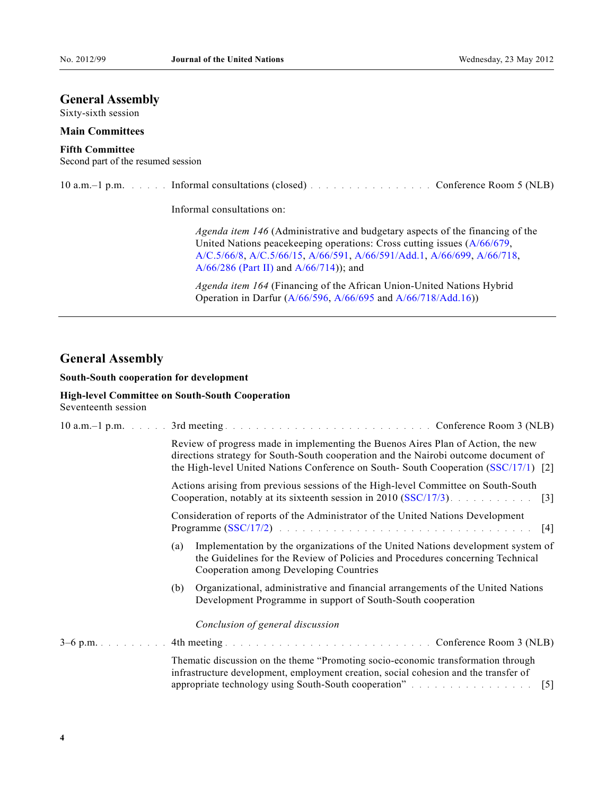### **General Assembly**

Sixty-sixth session

#### **Main Committees**

### **Fifth Committee**

Second part of the resumed session

| 10 a.m. $-1$ p.m. | Informal consultations (closed) entering content to conference Room 5 (NLB) |  |  |  |
|-------------------|-----------------------------------------------------------------------------|--|--|--|
|-------------------|-----------------------------------------------------------------------------|--|--|--|

Informal consultations on:

 *Agenda item 146* (Administrative and budgetary aspects of the financing of the United Nations peacekeeping operations: Cross cutting issues ([A/66/679,](http://undocs.org/A/66/679) [A/C.5/66/8,](http://undocs.org/A/C.5/66/8) [A/C.5/66/15,](http://undocs.org/A/C.5/66/15) [A/66/591,](http://undocs.org/A/66/591) [A/66/591/Add.1](http://undocs.org/A/66/591/Add.1), [A/66/699](http://undocs.org/A/66/699), [A/66/718](http://undocs.org/A/66/718), [A/66/286 \(Part II\)](http://undocs.org/A/66/286%20(Part%20II)) and [A/66/714](http://undocs.org/A/66/714))); and

 *Agenda item 164* (Financing of the African Union-United Nations Hybrid Operation in Darfur ([A/66/596](http://undocs.org/A/66/596), [A/66/695](http://undocs.org/A/66/695) and [A/66/718/Add.16](http://undocs.org/A/66/718/Add.16)))

### **General Assembly**

### **South-South cooperation for development**

### **High-level Committee on South-South Cooperation**  Seventeenth session

|  |                                                                                                                                                        | Review of progress made in implementing the Buenos Aires Plan of Action, the new<br>directions strategy for South-South cooperation and the Nairobi outcome document of<br>the High-level United Nations Conference on South-South Cooperation (SSC/17/1) [2] |  |  |
|--|--------------------------------------------------------------------------------------------------------------------------------------------------------|---------------------------------------------------------------------------------------------------------------------------------------------------------------------------------------------------------------------------------------------------------------|--|--|
|  | Actions arising from previous sessions of the High-level Committee on South-South<br>Cooperation, notably at its sixteenth session in 2010 (SSC/17/3). |                                                                                                                                                                                                                                                               |  |  |
|  |                                                                                                                                                        | Consideration of reports of the Administrator of the United Nations Development                                                                                                                                                                               |  |  |
|  | (a)                                                                                                                                                    | Implementation by the organizations of the United Nations development system of<br>the Guidelines for the Review of Policies and Procedures concerning Technical<br>Cooperation among Developing Countries                                                    |  |  |
|  | (b)                                                                                                                                                    | Organizational, administrative and financial arrangements of the United Nations<br>Development Programme in support of South-South cooperation                                                                                                                |  |  |
|  |                                                                                                                                                        | Conclusion of general discussion                                                                                                                                                                                                                              |  |  |
|  |                                                                                                                                                        |                                                                                                                                                                                                                                                               |  |  |
|  |                                                                                                                                                        | Thematic discussion on the theme "Promoting socio-economic transformation through<br>infrastructure development, employment creation, social cohesion and the transfer of<br>$\lceil 5 \rceil$                                                                |  |  |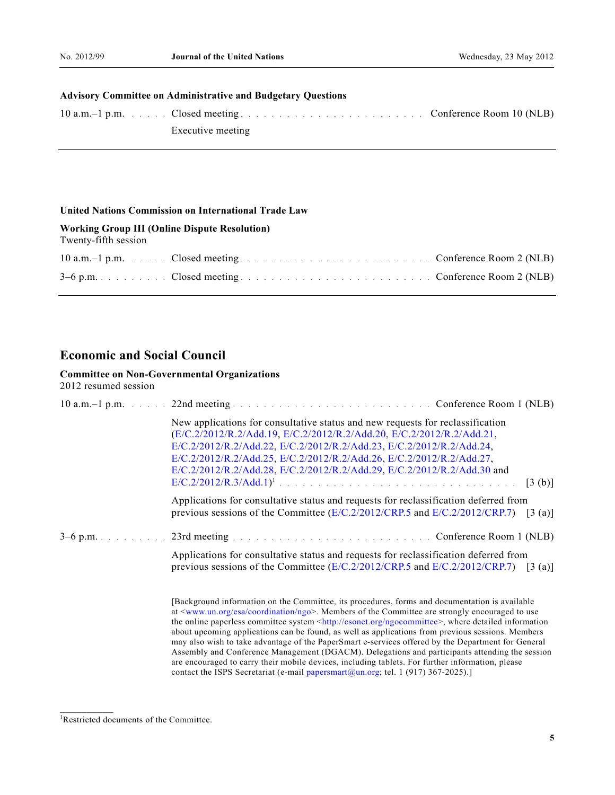### **Advisory Committee on Administrative and Budgetary Questions**

| 10 a.m. -1 p.m. (10 km). Closed meeting enters and continuous conference Room 10 (NLB) |  |
|----------------------------------------------------------------------------------------|--|
| Executive meeting                                                                      |  |

#### **United Nations Commission on International Trade Law**

#### **Working Group III (Online Dispute Resolution)**

Twenty-fifth session

| 10 a.m. -1 p.m. Closed meeting enters and contact the Conference Room 2 (NLB) |  |
|-------------------------------------------------------------------------------|--|
|                                                                               |  |

## **Economic and Social Council**

#### **Committee on Non-Governmental Organizations**

2012 resumed session

| New applications for consultative status and new requests for reclassification<br>(E/C.2/2012/R.2/Add.19, E/C.2/2012/R.2/Add.20, E/C.2/2012/R.2/Add.21,<br>E/C.2/2012/R.2/Add.22, E/C.2/2012/R.2/Add.23, E/C.2/2012/R.2/Add.24, |         |
|---------------------------------------------------------------------------------------------------------------------------------------------------------------------------------------------------------------------------------|---------|
| E/C.2/2012/R.2/Add.25, E/C.2/2012/R.2/Add.26, E/C.2/2012/R.2/Add.27,<br>E/C.2/2012/R.2/Add.28, E/C.2/2012/R.2/Add.29, E/C.2/2012/R.2/Add.30 and                                                                                 |         |
|                                                                                                                                                                                                                                 | [3 (b)] |
| Applications for consultative status and requests for reclassification deferred from                                                                                                                                            |         |
| previous sessions of the Committee $(E/C.2/2012/CRP.5$ and $E/C.2/2012/CRP.7)$ [3 (a)]                                                                                                                                          |         |
|                                                                                                                                                                                                                                 |         |
| Applications for consultative status and requests for reclassification deferred from<br>previous sessions of the Committee ( $E/C.2/2012/CRP.5$ and $E/C.2/2012/CRP.7$ ) [3 (a)]                                                |         |

 [Background information on the Committee, its procedures, forms and documentation is available at <[www.un.org/esa/coordination/ngo>](http://www.un.org/esa/coordination/ngo). Members of the Committee are strongly encouraged to use the online paperless committee system <<http://csonet.org/ngocommittee>>, where detailed information about upcoming applications can be found, as well as applications from previous sessions. Members may also wish to take advantage of the PaperSmart e-services offered by the Department for General Assembly and Conference Management (DGACM). Delegations and participants attending the session are encouraged to carry their mobile devices, including tablets. For further information, please contact the ISPS Secretariat (e-mail [papersmart@un.org](mailto:papersmart@un.org); tel. 1 (917) 367-2025).]

 $\frac{1}{2}$ 

<sup>1</sup> Restricted documents of the Committee.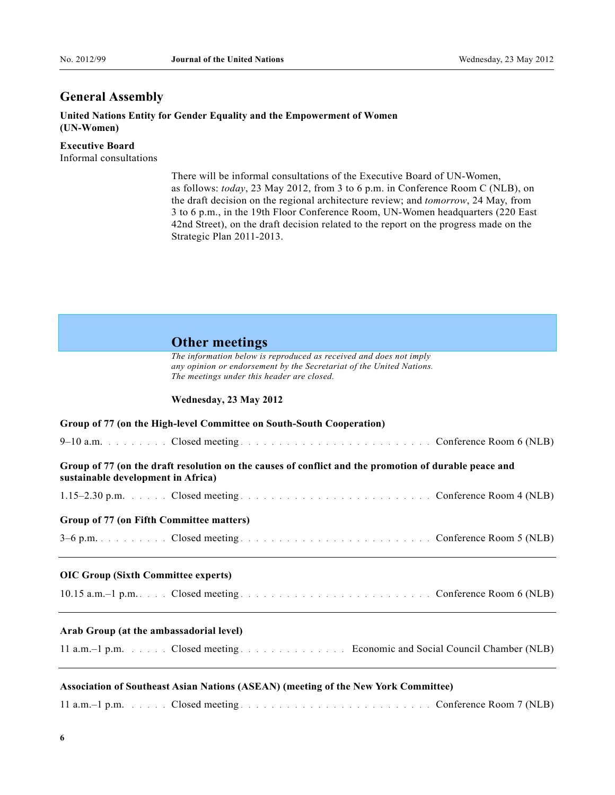## **General Assembly**

**United Nations Entity for Gender Equality and the Empowerment of Women (UN-Women)** 

**Executive Board**  Informal consultations

> There will be informal consultations of the Executive Board of UN-Women, as follows: *today*, 23 May 2012, from 3 to 6 p.m. in Conference Room C (NLB), on the draft decision on the regional architecture review; and *tomorrow*, 24 May, from 3 to 6 p.m., in the 19th Floor Conference Room, UN-Women headquarters (220 East 42nd Street), on the draft decision related to the report on the progress made on the Strategic Plan 2011-2013.

### **Other meetings**

 *The information below is reproduced as received and does not imply any opinion or endorsement by the Secretariat of the United Nations. The meetings under this header are closed.* 

#### **Wednesday, 23 May 2012**

| Group of 77 (on the High-level Committee on South-South Cooperation)                                                                        |
|---------------------------------------------------------------------------------------------------------------------------------------------|
|                                                                                                                                             |
| Group of 77 (on the draft resolution on the causes of conflict and the promotion of durable peace and<br>sustainable development in Africa) |
| 1.15–2.30 p.m. Closed meeting enters and contact the conference Room 4 (NLB)                                                                |
| Group of 77 (on Fifth Committee matters)                                                                                                    |
| ,我们也不会有什么。""我们的人,我们也不会有什么?""我们的人,我们也不会有什么?""我们的人,我们也不会有什么?""我们的人,我们也不会有什么?""我们的人                                                            |
| <b>OIC Group (Sixth Committee experts)</b>                                                                                                  |
|                                                                                                                                             |
| Arab Group (at the ambassadorial level)                                                                                                     |
| 11 a.m. -1 p.m. Closed meeting Economic and Social Council Chamber (NLB)                                                                    |
| Association of Southeast Asian Nations (ASEAN) (meeting of the New York Committee)                                                          |

11 a.m.e1 p.m. ..... Closed meeting ......................... Conference Room 7 (NLB)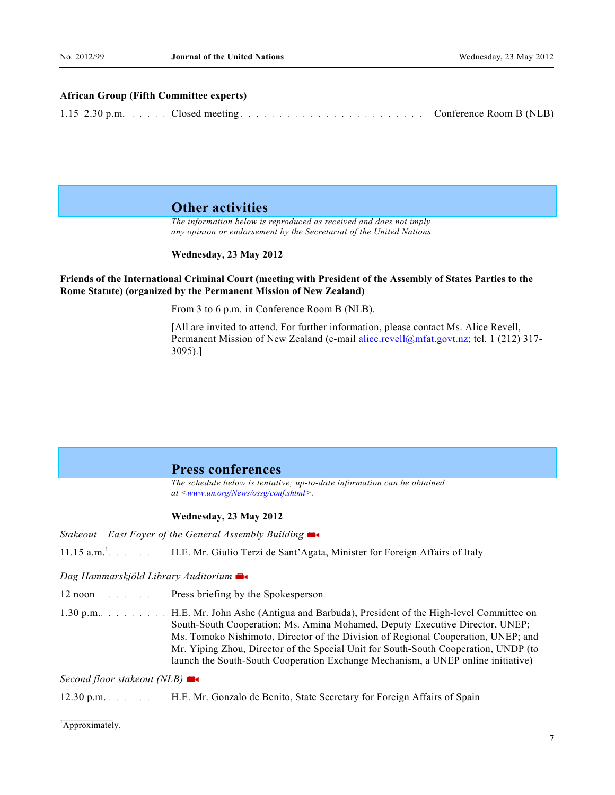#### **African Group (Fifth Committee experts)**

|  | $1.15-2.30$ p.m. Closed meeting expansion is a set of the set of the set of the set of the set of the set of the set of the set of the set of the set of the set of the set of the set of the set of the set of the set of th | Conference Room B (NLB) |  |
|--|-------------------------------------------------------------------------------------------------------------------------------------------------------------------------------------------------------------------------------|-------------------------|--|
|--|-------------------------------------------------------------------------------------------------------------------------------------------------------------------------------------------------------------------------------|-------------------------|--|

### **Other activities**

 *The information below is reproduced as received and does not imply any opinion or endorsement by the Secretariat of the United Nations.* 

 **Wednesday, 23 May 2012** 

### **Friends of the International Criminal Court (meeting with President of the Assembly of States Parties to the Rome Statute) (organized by the Permanent Mission of New Zealand)**

From 3 to 6 p.m. in Conference Room B (NLB).

 [All are invited to attend. For further information, please contact Ms. Alice Revell, Permanent Mission of New Zealand (e-mail [alice.revell@mfat.govt.nz](mailto:alice.revell@mfat.govt.nz); tel. 1 (212) 317- 3095).]

### **Press conferences**

 *The schedule below is tentative; up-to-date information can be obtained at <[www.un.org/News/ossg/conf.shtml](http://www.un.org/News/ossg/conf.shtml)>.* 

#### **Wednesday, 23 May 2012**

*Stakeout – East Foyer of the General Assembly Building*

11.15 a.m.<sup>1</sup>....... H.E. Mr. Giulio Terzi de Sant'Agata, Minister for Foreign Affairs of Italy

*Dag Hammarskjöld Library Auditorium*

12 noon ......... Press briefing by the Spokesperson

1.30 p.m.......... H.E. Mr. John Ashe (Antigua and Barbuda), President of the High-level Committee on South-South Cooperation; Ms. Amina Mohamed, Deputy Executive Director, UNEP; Ms. Tomoko Nishimoto, Director of the Division of Regional Cooperation, UNEP; and Mr. Yiping Zhou, Director of the Special Unit for South-South Cooperation, UNDP (to launch the South-South Cooperation Exchange Mechanism, a UNEP online initiative)

*Second floor stakeout (NLB[\)](http://www.un.org/webcast/)* 

12.30 p.m. ........ H.E. Mr. Gonzalo de Benito, State Secretary for Foreign Affairs of Spain

 $\overline{A$ pproximately.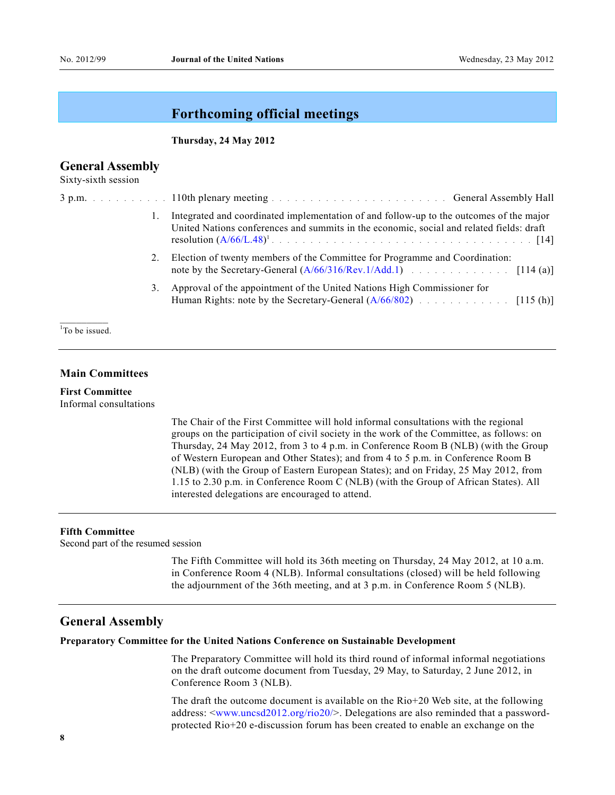### **Forthcoming official meetings**

#### **Thursday, 24 May 2012**

### **General Assembly**

Sixty-sixth session

|  |    | 3 p.m. Subscriber 2010 in the 110th plenary meeting entirely and a series of the contract of the General Assembly Hall                                                                                              |  |
|--|----|---------------------------------------------------------------------------------------------------------------------------------------------------------------------------------------------------------------------|--|
|  |    | Integrated and coordinated implementation of and follow-up to the outcomes of the major<br>United Nations conferences and summits in the economic, social and related fields: draft<br>resolution $(A/66/L.48)^1$ . |  |
|  | 2. | Election of twenty members of the Committee for Programme and Coordination:                                                                                                                                         |  |
|  | 3. | Approval of the appointment of the United Nations High Commissioner for                                                                                                                                             |  |

<sup>1</sup>To be issued.

### **Main Committees**

**First Committee** Informal consultations

> The Chair of the First Committee will hold informal consultations with the regional groups on the participation of civil society in the work of the Committee, as follows: on Thursday, 24 May 2012, from 3 to 4 p.m. in Conference Room B (NLB) (with the Group of Western European and Other States); and from 4 to 5 p.m. in Conference Room B (NLB) (with the Group of Eastern European States); and on Friday, 25 May 2012, from 1.15 to 2.30 p.m. in Conference Room C (NLB) (with the Group of African States). All interested delegations are encouraged to attend.

### **Fifth Committee**

Second part of the resumed session

 The Fifth Committee will hold its 36th meeting on Thursday, 24 May 2012, at 10 a.m. in Conference Room 4 (NLB). Informal consultations (closed) will be held following the adjournment of the 36th meeting, and at 3 p.m. in Conference Room 5 (NLB).

### **General Assembly**

#### **Preparatory Committee for the United Nations Conference on Sustainable Development**

 The Preparatory Committee will hold its third round of informal informal negotiations on the draft outcome document from Tuesday, 29 May, to Saturday, 2 June 2012, in Conference Room 3 (NLB).

 The draft the outcome document is available on the Rio+20 Web site, at the following address: <[www.uncsd2012.org/rio20/>](http://www.uncsd2012.org/rio20/). Delegations are also reminded that a passwordprotected Rio+20 e-discussion forum has been created to enable an exchange on the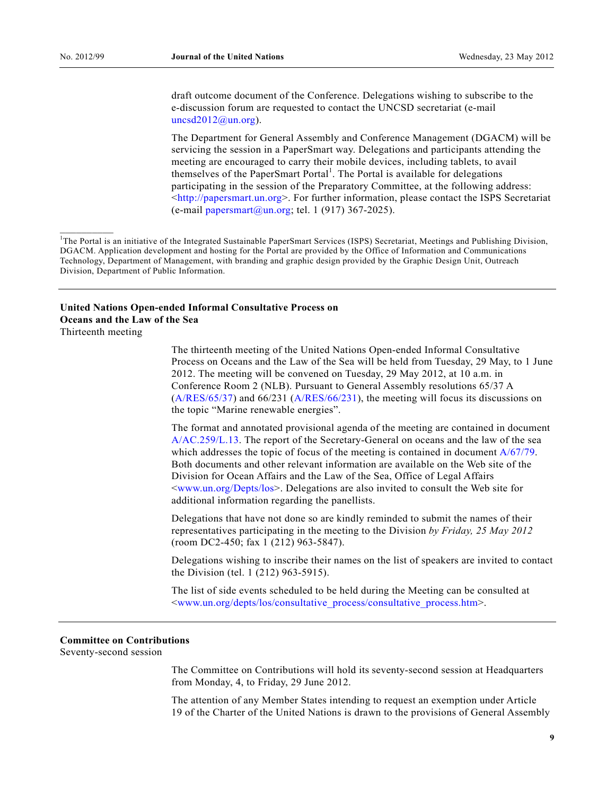draft outcome document of the Conference. Delegations wishing to subscribe to the e-discussion forum are requested to contact the UNCSD secretariat (e-mail  $uncsd2012@un.org$ ).

 The Department for General Assembly and Conference Management (DGACM) will be servicing the session in a PaperSmart way. Delegations and participants attending the meeting are encouraged to carry their mobile devices, including tablets, to avail themselves of the PaperSmart Portal<sup>1</sup>. The Portal is available for delegations participating in the session of the Preparatory Committee, at the following address:  $\langle \text{http://papermart.un.org>}.$  For further information, please contact the ISPS Secretariat (e-mail [papersmart@un.org;](mailto:papersmart@un.org) tel. 1 (917) 367-2025).

### **United Nations Open-ended Informal Consultative Process on Oceans and the Law of the Sea**

Thirteenth meeting

 $\frac{1}{2}$ 

 The thirteenth meeting of the United Nations Open-ended Informal Consultative Process on Oceans and the Law of the Sea will be held from Tuesday, 29 May, to 1 June 2012. The meeting will be convened on Tuesday, 29 May 2012, at 10 a.m. in Conference Room 2 (NLB). Pursuant to General Assembly resolutions 65/37 A [\(A/RES/65/37](http://undocs.org/A/RES/65/37)) and 66/231 ([A/RES/66/231\)](http://undocs.org/A/RES/66/231), the meeting will focus its discussions on the topic "Marine renewable energies".

 The format and annotated provisional agenda of the meeting are contained in document [A/AC.259/L.13.](http://undocs.org/A/AC.259/L.13) The report of the Secretary-General on oceans and the law of the sea which addresses the topic of focus of the meeting is contained in document [A/67/79.](http://undocs.org/A/67/79) Both documents and other relevant information are available on the Web site of the Division for Ocean Affairs and the Law of the Sea, Office of Legal Affairs <[www.un.org/Depts/los](http://www.un.org/Depts/los)>. Delegations are also invited to consult the Web site for additional information regarding the panellists.

 Delegations that have not done so are kindly reminded to submit the names of their representatives participating in the meeting to the Division *by Friday, 25 May 2012* (room DC2-450; fax 1 (212) 963-5847).

 Delegations wishing to inscribe their names on the list of speakers are invited to contact the Division (tel. 1 (212) 963-5915).

 The list of side events scheduled to be held during the Meeting can be consulted at <[www.un.org/depts/los/consultative\\_process/consultative\\_process.htm>](http://www.un.org/depts/los/consultative_process/consultative_process.htm).

### **Committee on Contributions**

Seventy-second session

 The Committee on Contributions will hold its seventy-second session at Headquarters from Monday, 4, to Friday, 29 June 2012.

 The attention of any Member States intending to request an exemption under Article 19 of the Charter of the United Nations is drawn to the provisions of General Assembly

<sup>&</sup>lt;sup>1</sup>The Portal is an initiative of the Integrated Sustainable PaperSmart Services (ISPS) Secretariat, Meetings and Publishing Division, DGACM. Application development and hosting for the Portal are provided by the Office of Information and Communications Technology, Department of Management, with branding and graphic design provided by the Graphic Design Unit, Outreach Division, Department of Public Information.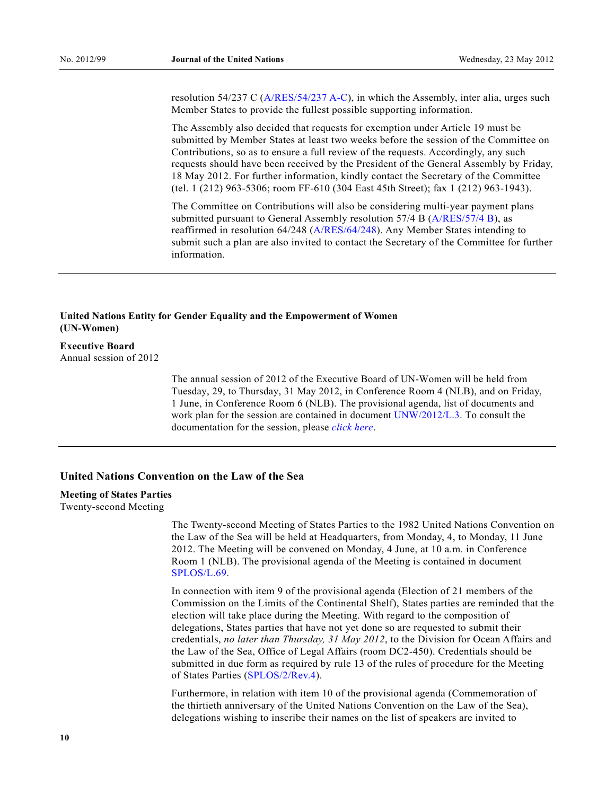resolution 54/237 C ([A/RES/54/237 A-C](http://www.un.org/ga/search/view_doc.asp?symbol=A/RES/54/237A-C)), in which the Assembly, inter alia, urges such Member States to provide the fullest possible supporting information.

 The Assembly also decided that requests for exemption under Article 19 must be submitted by Member States at least two weeks before the session of the Committee on Contributions, so as to ensure a full review of the requests. Accordingly, any such requests should have been received by the President of the General Assembly by Friday*,*  18 May 2012. For further information, kindly contact the Secretary of the Committee (tel. 1 (212) 963-5306; room FF-610 (304 East 45th Street); fax 1 (212) 963-1943).

 The Committee on Contributions will also be considering multi-year payment plans submitted pursuant to General Assembly resolution 57/4 B ([A/RES/57/4 B](http://www.un.org/ga/search/view_doc.asp?symbol=A/RES/57/4B)), as reaffirmed in resolution 64/248 ([A/RES/64/248](http://www.un.org/ga/search/view_doc.asp?symbol=A/RES/64/248)). Any Member States intending to submit such a plan are also invited to contact the Secretary of the Committee for further information.

### **United Nations Entity for Gender Equality and the Empowerment of Women (UN-Women)**

### **Executive Board**

Annual session of 2012

 The annual session of 2012 of the Executive Board of UN-Women will be held from Tuesday, 29, to Thursday, 31 May 2012, in Conference Room 4 (NLB), and on Friday, 1 June, in Conference Room 6 (NLB). The provisional agenda, list of documents and work plan for the session are contained in document [UNW/2012/L.3.](http://www.un.org/ga/search/view_doc.asp?symbol=unw/2012/L.3) To consult the documentation for the session, please *[click here](http://www.unwomen.org/about-us/governance/executive-board/annual-session-2012/)*.

### **United Nations Convention on the Law of the Sea**

### **Meeting of States Parties**

Twenty-second Meeting

 The Twenty-second Meeting of States Parties to the 1982 United Nations Convention on the Law of the Sea will be held at Headquarters, from Monday, 4, to Monday, 11 June 2012. The Meeting will be convened on Monday, 4 June, at 10 a.m. in Conference Room 1 (NLB). The provisional agenda of the Meeting is contained in document [SPLOS/L.69.](http://undocs.org/SPLOS/L.69)

 In connection with item 9 of the provisional agenda (Election of 21 members of the Commission on the Limits of the Continental Shelf), States parties are reminded that the election will take place during the Meeting. With regard to the composition of delegations, States parties that have not yet done so are requested to submit their credentials, *no later than Thursday, 31 May 2012*, to the Division for Ocean Affairs and the Law of the Sea, Office of Legal Affairs (room DC2-450). Credentials should be submitted in due form as required by rule 13 of the rules of procedure for the Meeting of States Parties ([SPLOS/2/Rev.4\)](http://undocs.org/SPLOS/2/Rev.4).

 Furthermore, in relation with item 10 of the provisional agenda (Commemoration of the thirtieth anniversary of the United Nations Convention on the Law of the Sea), delegations wishing to inscribe their names on the list of speakers are invited to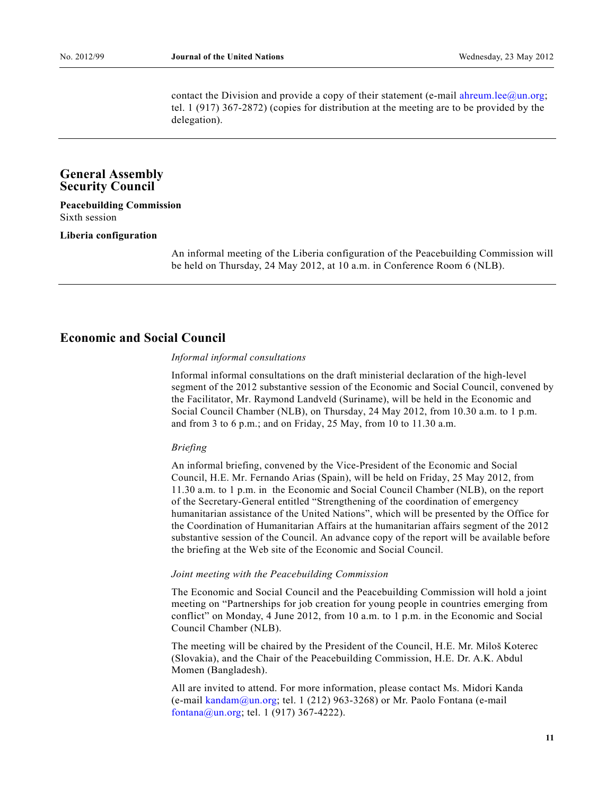contact the Division and provide a copy of their statement (e-mail [ahreum.lee@un.org](mailto:ahreum.lee@un.org); tel. 1 (917) 367-2872) (copies for distribution at the meeting are to be provided by the delegation).

### **General Assembly Security Council**

### **Peacebuilding Commission**  Sixth session

#### **Liberia configuration**

 An informal meeting of the Liberia configuration of the Peacebuilding Commission will be held on Thursday, 24 May 2012, at 10 a.m. in Conference Room 6 (NLB).

## **Economic and Social Council**

#### *Informal informal consultations*

 Informal informal consultations on the draft ministerial declaration of the high-level segment of the 2012 substantive session of the Economic and Social Council, convened by the Facilitator, Mr. Raymond Landveld (Suriname), will be held in the Economic and Social Council Chamber (NLB), on Thursday, 24 May 2012, from 10.30 a.m. to 1 p.m. and from 3 to 6 p.m.; and on Friday, 25 May, from 10 to 11.30 a.m.

#### *Briefing*

 An informal briefing, convened by the Vice-President of the Economic and Social Council, H.E. Mr. Fernando Arias (Spain), will be held on Friday, 25 May 2012, from 11.30 a.m. to 1 p.m. in the Economic and Social Council Chamber (NLB), on the report of the Secretary-General entitled "Strengthening of the coordination of emergency humanitarian assistance of the United Nations", which will be presented by the Office for the Coordination of Humanitarian Affairs at the humanitarian affairs segment of the 2012 substantive session of the Council. An advance copy of the report will be available before the briefing at the Web site of the Economic and Social Council.

#### *Joint meeting with the Peacebuilding Commission*

 The Economic and Social Council and the Peacebuilding Commission will hold a joint meeting on "Partnerships for job creation for young people in countries emerging from conflict" on Monday, 4 June 2012, from 10 a.m. to 1 p.m. in the Economic and Social Council Chamber (NLB).

 The meeting will be chaired by the President of the Council, H.E. Mr. Milos Koterec (Slovakia), and the Chair of the Peacebuilding Commission, H.E. Dr. A.K. Abdul Momen (Bangladesh).

 All are invited to attend. For more information, please contact Ms. Midori Kanda (e-mail [kandam@un.org;](mailto:kandam@un.org) tel. 1 (212) 963-3268) or Mr. Paolo Fontana (e-mail [fontana@un.org](mailto:fontana@un.org); tel. 1 (917) 367-4222).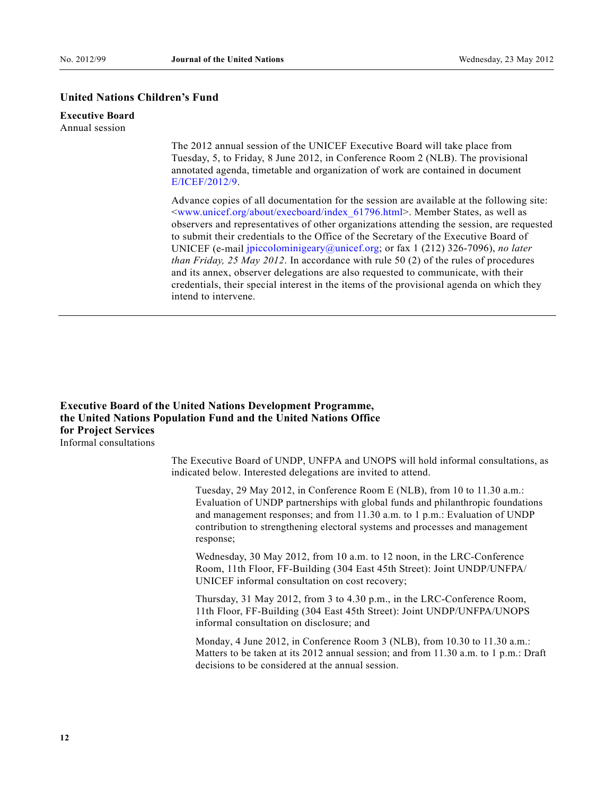### **United Nations Children's Fund**

### **Executive Board**

Annual session

 The 2012 annual session of the UNICEF Executive Board will take place from Tuesday, 5, to Friday, 8 June 2012, in Conference Room 2 (NLB). The provisional annotated agenda, timetable and organization of work are contained in document [E/ICEF/2012/9](http://undocs.org/E/ICEF/2012/9).

 Advance copies of all documentation for the session are available at the following site: <[www.unicef.org/about/execboard/index\\_61796.html](http://www.unicef.org/about/execboard/index_61796.html)>. Member States, as well as observers and representatives of other organizations attending the session, are requested to submit their credentials to the Office of the Secretary of the Executive Board of UNICEF (e-mail [jpiccolominigeary@unicef.org;](mailto:jpiccolominigeary@unicef.org) or fax 1 (212) 326-7096), *no later than Friday, 25 May 2012*. In accordance with rule 50 (2) of the rules of procedures and its annex, observer delegations are also requested to communicate, with their credentials, their special interest in the items of the provisional agenda on which they intend to intervene.

### **Executive Board of the United Nations Development Programme, the United Nations Population Fund and the United Nations Office for Project Services**  Informal consultations

 The Executive Board of UNDP, UNFPA and UNOPS will hold informal consultations, as indicated below. Interested delegations are invited to attend.

 Tuesday, 29 May 2012, in Conference Room E (NLB), from 10 to 11.30 a.m.: Evaluation of UNDP partnerships with global funds and philanthropic foundations and management responses; and from 11.30 a.m. to 1 p.m.: Evaluation of UNDP contribution to strengthening electoral systems and processes and management response;

 Wednesday, 30 May 2012, from 10 a.m. to 12 noon, in the LRC-Conference Room, 11th Floor, FF-Building (304 East 45th Street): Joint UNDP/UNFPA/ UNICEF informal consultation on cost recovery;

 Thursday, 31 May 2012, from 3 to 4.30 p.m., in the LRC-Conference Room, 11th Floor, FF-Building (304 East 45th Street): Joint UNDP/UNFPA/UNOPS informal consultation on disclosure; and

 Monday, 4 June 2012, in Conference Room 3 (NLB), from 10.30 to 11.30 a.m.: Matters to be taken at its 2012 annual session; and from 11.30 a.m. to 1 p.m.: Draft decisions to be considered at the annual session.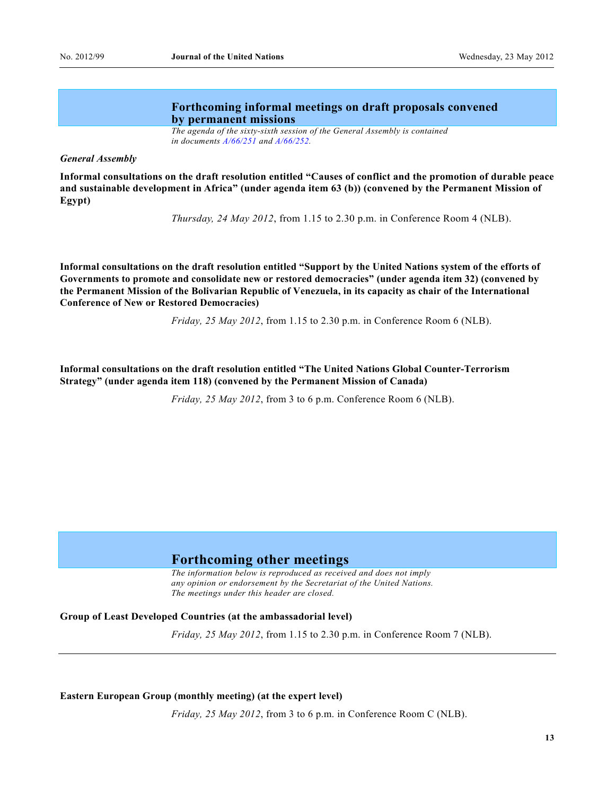### **Forthcoming informal meetings on draft proposals convened by permanent missions**

*The agenda of the sixty-sixth session of the General Assembly is contained in documents [A/66/251](http://www.un.org/ga/search/view_doc.asp?symbol=A/66/251) and [A/66/252.](http://www.un.org/ga/search/view_doc.asp?symbol=A/66/252)* 

#### *General Assembly*

**Informal consultations on the draft resolution entitled "Causes of conflict and the promotion of durable peace and sustainable development in Africa" (under agenda item 63 (b)) (convened by the Permanent Mission of Egypt)** 

*Thursday, 24 May 2012*, from 1.15 to 2.30 p.m. in Conference Room 4 (NLB).

**Informal consultations on the draft resolution entitled "Support by the United Nations system of the efforts of Governments to promote and consolidate new or restored democracies" (under agenda item 32) (convened by the Permanent Mission of the Bolivarian Republic of Venezuela, in its capacity as chair of the International Conference of New or Restored Democracies)** 

*Friday, 25 May 2012*, from 1.15 to 2.30 p.m. in Conference Room 6 (NLB).

**Informal consultations on the draft resolution entitled "The United Nations Global Counter-Terrorism Strategy" (under agenda item 118) (convened by the Permanent Mission of Canada)** 

*Friday, 25 May 2012*, from 3 to 6 p.m. Conference Room 6 (NLB).

## **Forthcoming other meetings**

 *The information below is reproduced as received and does not imply any opinion or endorsement by the Secretariat of the United Nations. The meetings under this header are closed.* 

#### **Group of Least Developed Countries (at the ambassadorial level)**

*Friday, 25 May 2012*, from 1.15 to 2.30 p.m. in Conference Room 7 (NLB).

#### **Eastern European Group (monthly meeting) (at the expert level)**

*Friday, 25 May 2012*, from 3 to 6 p.m. in Conference Room C (NLB).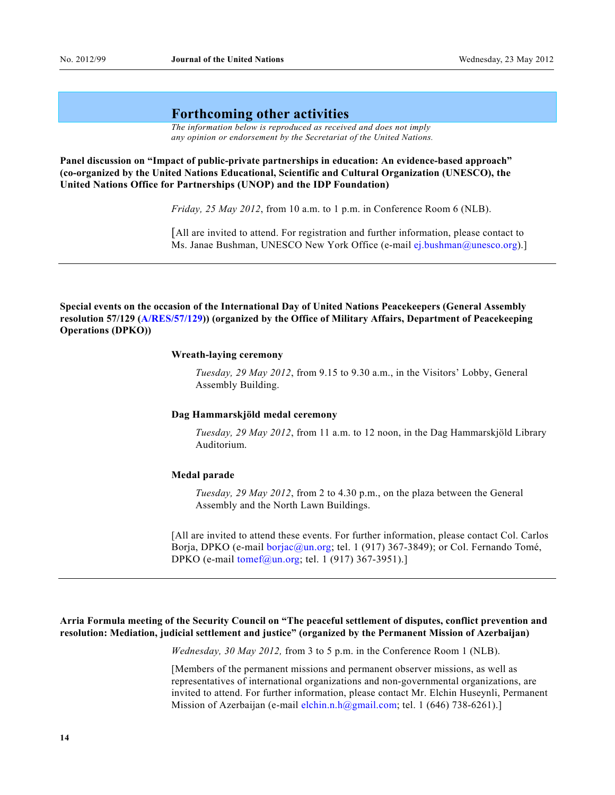### **Forthcoming other activities**

 *The information below is reproduced as received and does not imply any opinion or endorsement by the Secretariat of the United Nations.* 

**Panel discussion on "Impact of public-private partnerships in education: An evidence-based approach" (co-organized by the United Nations Educational, Scientific and Cultural Organization (UNESCO), the United Nations Office for Partnerships (UNOP) and the IDP Foundation)** 

 *Friday, 25 May 2012*, from 10 a.m. to 1 p.m. in Conference Room 6 (NLB).

 [All are invited to attend. For registration and further information, please contact to Ms. Janae Bushman, UNESCO New York Office (e-mail [ej.bushman@unesco.org](mailto:ej.bushman@unesco.org)).]

**Special events on the occasion of the International Day of United Nations Peacekeepers (General Assembly resolution 57/129 ([A/RES/57/129\)](http://undocs.org/A/RES/57/129)) (organized by the Office of Military Affairs, Department of Peacekeeping Operations (DPKO))** 

#### **Wreath-laying ceremony**

 *Tuesday, 29 May 2012*, from 9.15 to 9.30 a.m., in the Visitors^ Lobby, General Assembly Building.

#### **Dag Hammarskjöld medal ceremony**

 *Tuesday, 29 May 2012*, from 11 a.m. to 12 noon, in the Dag Hammarskjöld Library Auditorium.

#### **Medal parade**

 *Tuesday, 29 May 2012*, from 2 to 4.30 p.m., on the plaza between the General Assembly and the North Lawn Buildings.

 [All are invited to attend these events. For further information, please contact Col. Carlos Borja, DPKO (e-mail [borjac@un.org;](mailto:borjac@un.org) tel. 1 (917) 367-3849); or Col. Fernando Tomé, DPKO (e-mail [tomef@un.org;](mailto:tomef@un.org) tel. 1 (917) 367-3951).]

### **Arria Formula meeting of the Security Council on "The peaceful settlement of disputes, conflict prevention and resolution: Mediation, judicial settlement and justice" (organized by the Permanent Mission of Azerbaijan)**

 *Wednesday, 30 May 2012,* from 3 to 5 p.m. in the Conference Room 1 (NLB).

 [Members of the permanent missions and permanent observer missions, as well as representatives of international organizations and non-governmental organizations, are invited to attend. For further information, please contact Mr. Elchin Huseynli, Permanent Mission of Azerbaijan (e-mail [elchin.n.h@gmail.com](mailto:elchin.n.h@gmail.com); tel. 1 (646) 738-6261).]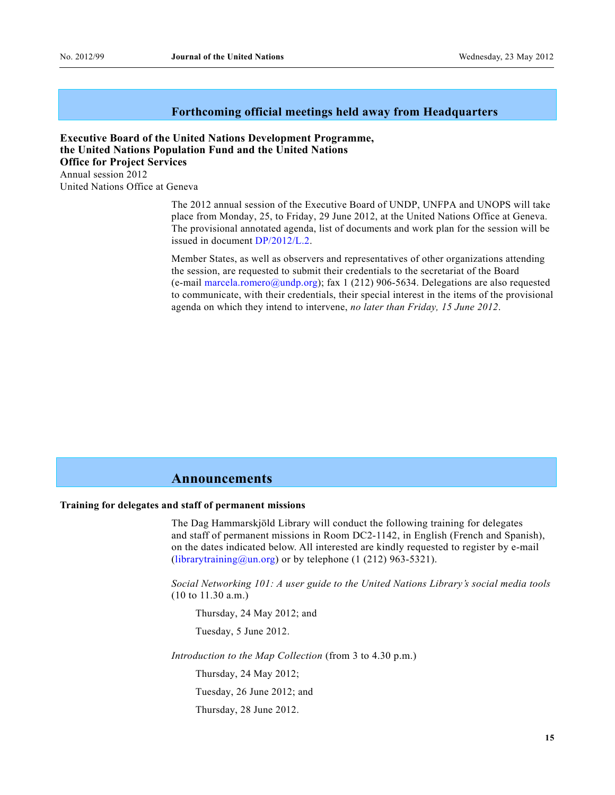### **Forthcoming official meetings held away from Headquarters**

**Executive Board of the United Nations Development Programme, the United Nations Population Fund and the United Nations Office for Project Services**  Annual session 2012 United Nations Office at Geneva

> The 2012 annual session of the Executive Board of UNDP, UNFPA and UNOPS will take place from Monday, 25, to Friday, 29 June 2012, at the United Nations Office at Geneva. The provisional annotated agenda, list of documents and work plan for the session will be issued in document [DP/2012/L.2](http://undocs.org/DP/2012/L.2).

> Member States, as well as observers and representatives of other organizations attending the session, are requested to submit their credentials to the secretariat of the Board (e-mail [marcela.romero@undp.org](mailto:marcela.romero@undp.org)); fax 1 (212) 906-5634. Delegations are also requested to communicate, with their credentials, their special interest in the items of the provisional agenda on which they intend to intervene, *no later than Friday, 15 June 2012*.

### **Announcements**

#### **Training for delegates and staff of permanent missions**

 The Dag Hammarskjöld Library will conduct the following training for delegates and staff of permanent missions in Room DC2-1142, in English (French and Spanish), on the dates indicated below. All interested are kindly requested to register by e-mail [\(librarytraining@un.org](mailto:librarytraining@un.org)) or by telephone (1 (212) 963-5321).

 *Social Networking 101: A user guide to the United Nations Library's social media tools*  (10 to 11.30 a.m.)

Thursday, 24 May 2012; and Tuesday, 5 June 2012.

*Introduction to the Map Collection* (from 3 to 4.30 p.m.)

Thursday, 24 May 2012;

Tuesday, 26 June 2012; and

Thursday, 28 June 2012.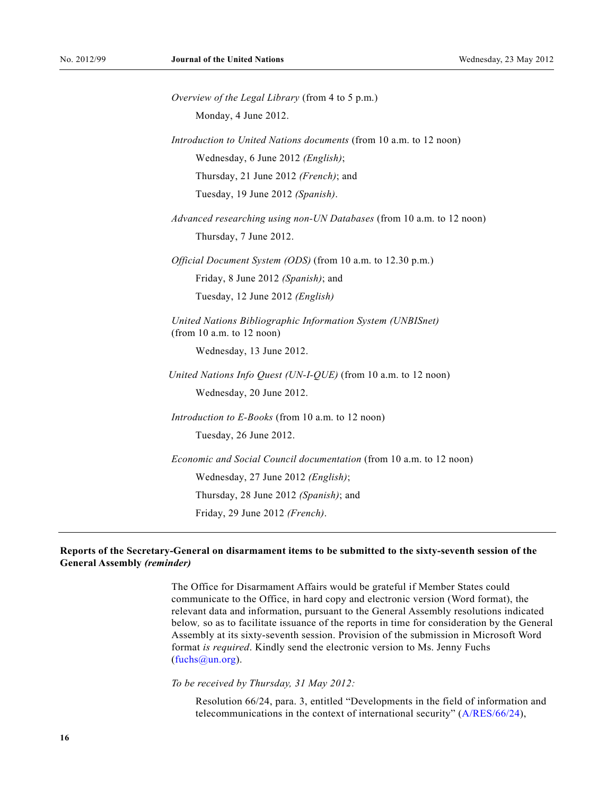*Overview of the Legal Library* (from 4 to 5 p.m.) Monday, 4 June 2012.  *Introduction to United Nations documents* (from 10 a.m. to 12 noon) Wednesday, 6 June 2012 *(English)*; Thursday, 21 June 2012 *(French)*; and Tuesday, 19 June 2012 *(Spanish)*. *Advanced researching using non-UN Databases* (from 10 a.m. to 12 noon) Thursday, 7 June 2012.  *Official Document System (ODS)* (from 10 a.m. to 12.30 p.m.) Friday, 8 June 2012 *(Spanish)*; and Tuesday, 12 June 2012 *(English) United Nations Bibliographic Information System (UNBISnet)*  (from 10 a.m. to 12 noon) Wednesday, 13 June 2012. *United Nations Info Quest (UN-I-QUE)* (from 10 a.m. to 12 noon) Wednesday, 20 June 2012. *Introduction to E-Books* (from 10 a.m. to 12 noon) Tuesday, 26 June 2012.  *Economic and Social Council documentation* (from 10 a.m. to 12 noon) Wednesday, 27 June 2012 *(English)*; Thursday, 28 June 2012 *(Spanish)*; and Friday, 29 June 2012 *(French)*.

### **Reports of the Secretary-General on disarmament items to be submitted to the sixty-seventh session of the General Assembly** *(reminder)*

 The Office for Disarmament Affairs would be grateful if Member States could communicate to the Office, in hard copy and electronic version (Word format), the relevant data and information, pursuant to the General Assembly resolutions indicated below*,* so as to facilitate issuance of the reports in time for consideration by the General Assembly at its sixty-seventh session. Provision of the submission in Microsoft Word format *is required*. Kindly send the electronic version to Ms. Jenny Fuchs  $(fuchs@un.org)$ .

*To be received by Thursday, 31 May 2012:*

Resolution 66/24, para. 3, entitled "Developments in the field of information and telecommunications in the context of international security"  $(A/RES/66/24)$  $(A/RES/66/24)$ ,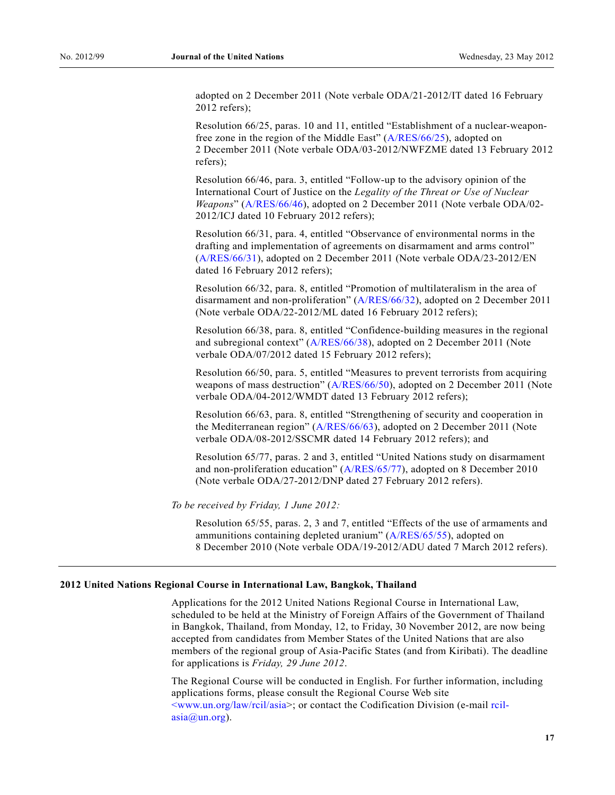adopted on 2 December 2011 (Note verbale ODA/21-2012/IT dated 16 February 2012 refers);

Resolution 66/25, paras. 10 and 11, entitled "Establishment of a nuclear-weaponfree zone in the region of the Middle East"  $(A/RES/66/25)$  $(A/RES/66/25)$  $(A/RES/66/25)$ , adopted on 2 December 2011 (Note verbale ODA/03-2012/NWFZME dated 13 February 2012 refers);

Resolution  $66/46$ , para. 3, entitled "Follow-up to the advisory opinion of the International Court of Justice on the *Legality of the Threat or Use of Nuclear Weapons*" ([A/RES/66/46\)](http://undocs.org/A/RES/66/46), adopted on 2 December 2011 (Note verbale ODA/02-2012/ICJ dated 10 February 2012 refers);

Resolution 66/31, para. 4, entitled "Observance of environmental norms in the drafting and implementation of agreements on disarmament and arms control" [\(A/RES/66/31](http://undocs.org/A/RES/66/31)), adopted on 2 December 2011 (Note verbale ODA/23-2012/EN dated 16 February 2012 refers);

Resolution  $66/32$ , para. 8, entitled "Promotion of multilateralism in the area of disarmament and non-proliferation" ([A/RES/66/32\)](http://undocs.org/A/RES/66/32), adopted on 2 December 2011 (Note verbale ODA/22-2012/ML dated 16 February 2012 refers);

Resolution 66/38, para. 8, entitled "Confidence-building measures in the regional and subregional context" ([A/RES/66/38](http://undocs.org/A/RES/66/38)), adopted on 2 December 2011 (Note verbale ODA/07/2012 dated 15 February 2012 refers);

Resolution 66/50, para. 5, entitled "Measures to prevent terrorists from acquiring weapons of mass destruction" ([A/RES/66/50\)](http://undocs.org/A/RES/66/50), adopted on 2 December 2011 (Note verbale ODA/04-2012/WMDT dated 13 February 2012 refers);

Resolution 66/63, para. 8, entitled "Strengthening of security and cooperation in the Mediterranean region"  $(A/RES/66/63)$  $(A/RES/66/63)$  $(A/RES/66/63)$ , adopted on 2 December 2011 (Note verbale ODA/08-2012/SSCMR dated 14 February 2012 refers); and

Resolution 65/77, paras. 2 and 3, entitled "United Nations study on disarmament" and non-proliferation education"  $(A/RES/65/77)$  $(A/RES/65/77)$ , adopted on 8 December 2010 (Note verbale ODA/27-2012/DNP dated 27 February 2012 refers).

*To be received by Friday, 1 June 2012:*

Resolution 65/55, paras. 2, 3 and 7, entitled "Effects of the use of armaments and ammunitions containing depleted uranium"  $(A/RES/65/55)$  $(A/RES/65/55)$ , adopted on 8 December 2010 (Note verbale ODA/19-2012/ADU dated 7 March 2012 refers).

#### **2012 United Nations Regional Course in International Law, Bangkok, Thailand**

 Applications for the 2012 United Nations Regional Course in International Law, scheduled to be held at the Ministry of Foreign Affairs of the Government of Thailand in Bangkok, Thailand, from Monday, 12, to Friday, 30 November 2012, are now being accepted from candidates from Member States of the United Nations that are also members of the regional group of Asia-Pacific States (and from Kiribati). The deadline for applications is *Friday, 29 June 2012*.

 The Regional Course will be conducted in English. For further information, including applications forms, please consult the Regional Course Web site [<www.un.org/law/rcil/asia](http://www.un.org/law/rcil/asia)>; or contact the Codification Division (e-mail [rcil](mailto:rcil-asia@un.org)[asia@un.org\)](mailto:rcil-asia@un.org).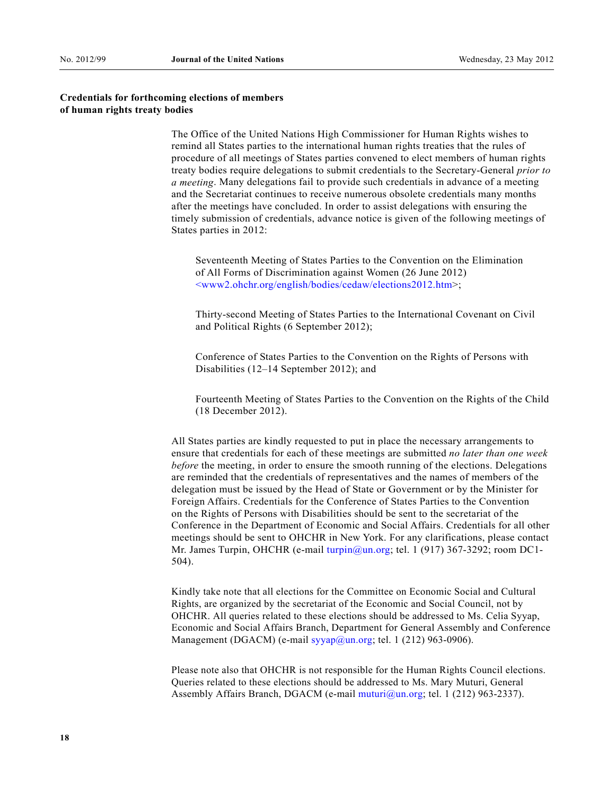### **Credentials for forthcoming elections of members of human rights treaty bodies**

 The Office of the United Nations High Commissioner for Human Rights wishes to remind all States parties to the international human rights treaties that the rules of procedure of all meetings of States parties convened to elect members of human rights treaty bodies require delegations to submit credentials to the Secretary-General *prior to a meeting*. Many delegations fail to provide such credentials in advance of a meeting and the Secretariat continues to receive numerous obsolete credentials many months after the meetings have concluded. In order to assist delegations with ensuring the timely submission of credentials, advance notice is given of the following meetings of States parties in 2012:

 Seventeenth Meeting of States Parties to the Convention on the Elimination of All Forms of Discrimination against Women (26 June 2012) [<www2.ohchr.org/english/bodies/cedaw/elections2012.htm>](http://www2.ohchr.org/english/bodies/cedaw/elections2012.htm);

 Thirty-second Meeting of States Parties to the International Covenant on Civil and Political Rights (6 September 2012);

 Conference of States Parties to the Convention on the Rights of Persons with Disabilities (12–14 September 2012); and

 Fourteenth Meeting of States Parties to the Convention on the Rights of the Child (18 December 2012).

 All States parties are kindly requested to put in place the necessary arrangements to ensure that credentials for each of these meetings are submitted *no later than one week before* the meeting, in order to ensure the smooth running of the elections. Delegations are reminded that the credentials of representatives and the names of members of the delegation must be issued by the Head of State or Government or by the Minister for Foreign Affairs. Credentials for the Conference of States Parties to the Convention on the Rights of Persons with Disabilities should be sent to the secretariat of the Conference in the Department of Economic and Social Affairs. Credentials for all other meetings should be sent to OHCHR in New York. For any clarifications, please contact Mr. James Turpin, OHCHR (e-mail [turpin@un.org;](mailto:turpin@un.org) tel. 1 (917) 367-3292; room DC1-504).

 Kindly take note that all elections for the Committee on Economic Social and Cultural Rights, are organized by the secretariat of the Economic and Social Council, not by OHCHR. All queries related to these elections should be addressed to Ms. Celia Syyap, Economic and Social Affairs Branch, Department for General Assembly and Conference Management (DGACM) (e-mail  $\frac{\text{syyap}}{\text{gyyap}}$  (*n* org; tel. 1 (212) 963-0906).

 Please note also that OHCHR is not responsible for the Human Rights Council elections. Queries related to these elections should be addressed to Ms. Mary Muturi, General Assembly Affairs Branch, DGACM (e-mail [muturi@un.org](mailto:muturi@un.org); tel. 1 (212) 963-2337).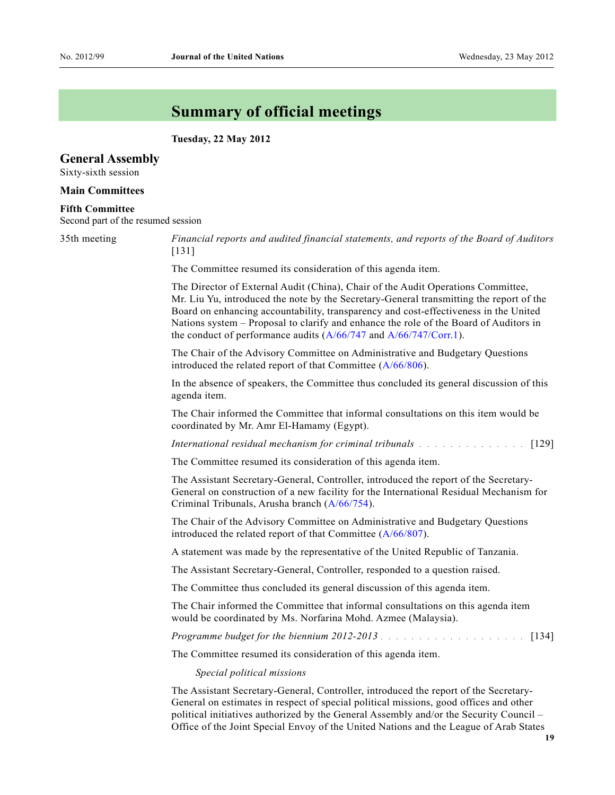## **Summary of official meetings**

 **Tuesday, 22 May 2012** 

### **General Assembly**

Sixty-sixth session

#### **Main Committees**

#### **Fifth Committee**

Second part of the resumed session

35th meeting *Financial reports and audited financial statements, and reports of the Board of Auditors* [131]

The Committee resumed its consideration of this agenda item.

 The Director of External Audit (China), Chair of the Audit Operations Committee, Mr. Liu Yu, introduced the note by the Secretary-General transmitting the report of the Board on enhancing accountability, transparency and cost-effectiveness in the United Nations system – Proposal to clarify and enhance the role of the Board of Auditors in the conduct of performance audits [\(A/66/747](http://undocs.org/A/66/747) and [A/66/747/Corr.1\)](http://undocs.org/A/66/747/Corr.1).

 The Chair of the Advisory Committee on Administrative and Budgetary Questions introduced the related report of that Committee ([A/66/806](http://undocs.org/A/66/806)).

 In the absence of speakers, the Committee thus concluded its general discussion of this agenda item.

 The Chair informed the Committee that informal consultations on this item would be coordinated by Mr. Amr El-Hamamy (Egypt).

*International residual mechanism for criminal tribunals* .............. [129]

The Committee resumed its consideration of this agenda item.

 The Assistant Secretary-General, Controller, introduced the report of the Secretary-General on construction of a new facility for the International Residual Mechanism for Criminal Tribunals, Arusha branch ([A/66/754](http://undocs.org/A/66/754)).

 The Chair of the Advisory Committee on Administrative and Budgetary Questions introduced the related report of that Committee ([A/66/807](http://undocs.org/A/66/807)).

A statement was made by the representative of the United Republic of Tanzania.

The Assistant Secretary-General, Controller, responded to a question raised.

The Committee thus concluded its general discussion of this agenda item.

 The Chair informed the Committee that informal consultations on this agenda item would be coordinated by Ms. Norfarina Mohd. Azmee (Malaysia).

*Programme budget for the biennium 2012-2013* ................... [134]

The Committee resumed its consideration of this agenda item.

*Special political missions* 

 The Assistant Secretary-General, Controller, introduced the report of the Secretary-General on estimates in respect of special political missions, good offices and other political initiatives authorized by the General Assembly and/or the Security Council – Office of the Joint Special Envoy of the United Nations and the League of Arab States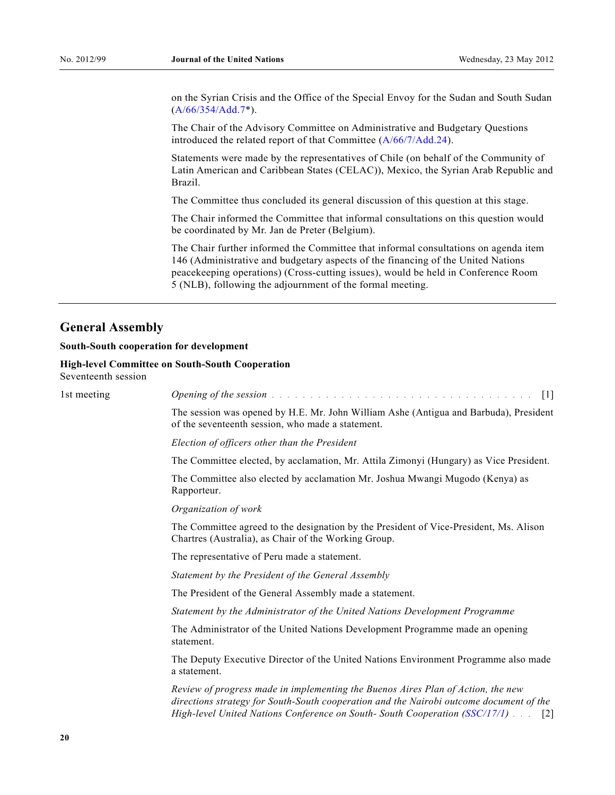on the Syrian Crisis and the Office of the Special Envoy for the Sudan and South Sudan [\(A/66/354/Add.7](http://undocs.org/A/66/354/Add.7)\*).

 The Chair of the Advisory Committee on Administrative and Budgetary Questions introduced the related report of that Committee ([A/66/7/Add.24\)](http://undocs.org/A/66/7/Add.24).

 Statements were made by the representatives of Chile (on behalf of the Community of Latin American and Caribbean States (CELAC)), Mexico, the Syrian Arab Republic and Brazil.

The Committee thus concluded its general discussion of this question at this stage.

 The Chair informed the Committee that informal consultations on this question would be coordinated by Mr. Jan de Preter (Belgium).

 The Chair further informed the Committee that informal consultations on agenda item 146 (Administrative and budgetary aspects of the financing of the United Nations peacekeeping operations) (Cross-cutting issues), would be held in Conference Room 5 (NLB), following the adjournment of the formal meeting.

## **General Assembly**

#### **South-South cooperation for development**

### **High-level Committee on South-South Cooperation**

Seventeenth session

| <i>Opening of the session different container and a set of the session different container and a set of the session</i>                                        |                                                                                                                                                                                                                                                                                                                                                                                                             |
|----------------------------------------------------------------------------------------------------------------------------------------------------------------|-------------------------------------------------------------------------------------------------------------------------------------------------------------------------------------------------------------------------------------------------------------------------------------------------------------------------------------------------------------------------------------------------------------|
| of the seventeenth session, who made a statement.                                                                                                              |                                                                                                                                                                                                                                                                                                                                                                                                             |
| Election of officers other than the President                                                                                                                  |                                                                                                                                                                                                                                                                                                                                                                                                             |
|                                                                                                                                                                |                                                                                                                                                                                                                                                                                                                                                                                                             |
| The Committee also elected by acclamation Mr. Joshua Mwangi Mugodo (Kenya) as<br>Rapporteur.                                                                   |                                                                                                                                                                                                                                                                                                                                                                                                             |
| Organization of work                                                                                                                                           |                                                                                                                                                                                                                                                                                                                                                                                                             |
| The Committee agreed to the designation by the President of Vice-President, Ms. Alison<br>Chartres (Australia), as Chair of the Working Group.                 |                                                                                                                                                                                                                                                                                                                                                                                                             |
| The representative of Peru made a statement.                                                                                                                   |                                                                                                                                                                                                                                                                                                                                                                                                             |
| Statement by the President of the General Assembly                                                                                                             |                                                                                                                                                                                                                                                                                                                                                                                                             |
| The President of the General Assembly made a statement.                                                                                                        |                                                                                                                                                                                                                                                                                                                                                                                                             |
| Statement by the Administrator of the United Nations Development Programme                                                                                     |                                                                                                                                                                                                                                                                                                                                                                                                             |
| The Administrator of the United Nations Development Programme made an opening<br>statement.                                                                    |                                                                                                                                                                                                                                                                                                                                                                                                             |
| a statement.                                                                                                                                                   |                                                                                                                                                                                                                                                                                                                                                                                                             |
| Review of progress made in implementing the Buenos Aires Plan of Action, the new<br>High-level United Nations Conference on South-South Cooperation (SSC/17/1) |                                                                                                                                                                                                                                                                                                                                                                                                             |
|                                                                                                                                                                | $\lceil 1 \rceil$<br>The session was opened by H.E. Mr. John William Ashe (Antigua and Barbuda), President<br>The Committee elected, by acclamation, Mr. Attila Zimonyi (Hungary) as Vice President.<br>The Deputy Executive Director of the United Nations Environment Programme also made<br>directions strategy for South-South cooperation and the Nairobi outcome document of the<br>$\lceil 2 \rceil$ |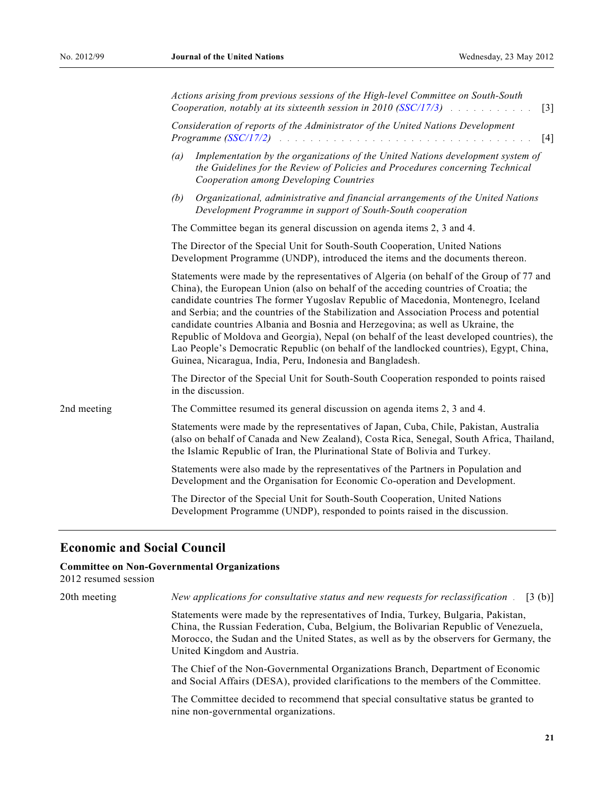|             | Actions arising from previous sessions of the High-level Committee on South-South<br>Cooperation, notably at its sixteenth session in 2010 (SSC/17/3) $\ldots$<br>$\lceil 3 \rceil$                                                                                                                                                                                                                                                                                                                                                                                                                                                                                                                        |  |  |
|-------------|------------------------------------------------------------------------------------------------------------------------------------------------------------------------------------------------------------------------------------------------------------------------------------------------------------------------------------------------------------------------------------------------------------------------------------------------------------------------------------------------------------------------------------------------------------------------------------------------------------------------------------------------------------------------------------------------------------|--|--|
|             | Consideration of reports of the Administrator of the United Nations Development<br>[4]                                                                                                                                                                                                                                                                                                                                                                                                                                                                                                                                                                                                                     |  |  |
|             | Implementation by the organizations of the United Nations development system of<br>(a)<br>the Guidelines for the Review of Policies and Procedures concerning Technical<br>Cooperation among Developing Countries                                                                                                                                                                                                                                                                                                                                                                                                                                                                                          |  |  |
|             | Organizational, administrative and financial arrangements of the United Nations<br>(b)<br>Development Programme in support of South-South cooperation                                                                                                                                                                                                                                                                                                                                                                                                                                                                                                                                                      |  |  |
|             | The Committee began its general discussion on agenda items 2, 3 and 4.                                                                                                                                                                                                                                                                                                                                                                                                                                                                                                                                                                                                                                     |  |  |
|             | The Director of the Special Unit for South-South Cooperation, United Nations<br>Development Programme (UNDP), introduced the items and the documents thereon.                                                                                                                                                                                                                                                                                                                                                                                                                                                                                                                                              |  |  |
|             | Statements were made by the representatives of Algeria (on behalf of the Group of 77 and<br>China), the European Union (also on behalf of the acceding countries of Croatia; the<br>candidate countries The former Yugoslav Republic of Macedonia, Montenegro, Iceland<br>and Serbia; and the countries of the Stabilization and Association Process and potential<br>candidate countries Albania and Bosnia and Herzegovina; as well as Ukraine, the<br>Republic of Moldova and Georgia), Nepal (on behalf of the least developed countries), the<br>Lao People's Democratic Republic (on behalf of the landlocked countries), Egypt, China,<br>Guinea, Nicaragua, India, Peru, Indonesia and Bangladesh. |  |  |
|             | The Director of the Special Unit for South-South Cooperation responded to points raised<br>in the discussion.                                                                                                                                                                                                                                                                                                                                                                                                                                                                                                                                                                                              |  |  |
| 2nd meeting | The Committee resumed its general discussion on agenda items 2, 3 and 4.                                                                                                                                                                                                                                                                                                                                                                                                                                                                                                                                                                                                                                   |  |  |
|             | Statements were made by the representatives of Japan, Cuba, Chile, Pakistan, Australia<br>(also on behalf of Canada and New Zealand), Costa Rica, Senegal, South Africa, Thailand,<br>the Islamic Republic of Iran, the Plurinational State of Bolivia and Turkey.                                                                                                                                                                                                                                                                                                                                                                                                                                         |  |  |
|             | Statements were also made by the representatives of the Partners in Population and<br>Development and the Organisation for Economic Co-operation and Development.                                                                                                                                                                                                                                                                                                                                                                                                                                                                                                                                          |  |  |
|             | The Director of the Special Unit for South-South Cooperation, United Nations<br>Development Programme (UNDP), responded to points raised in the discussion.                                                                                                                                                                                                                                                                                                                                                                                                                                                                                                                                                |  |  |

### **Economic and Social Council**

#### **Committee on Non-Governmental Organizations**

2012 resumed session

20th meeting *New applications for consultative status and new requests for reclassification* . [3 (b)]

 Statements were made by the representatives of India, Turkey, Bulgaria, Pakistan, China, the Russian Federation, Cuba, Belgium, the Bolivarian Republic of Venezuela, Morocco, the Sudan and the United States, as well as by the observers for Germany, the United Kingdom and Austria.

 The Chief of the Non-Governmental Organizations Branch, Department of Economic and Social Affairs (DESA), provided clarifications to the members of the Committee.

 The Committee decided to recommend that special consultative status be granted to nine non-governmental organizations.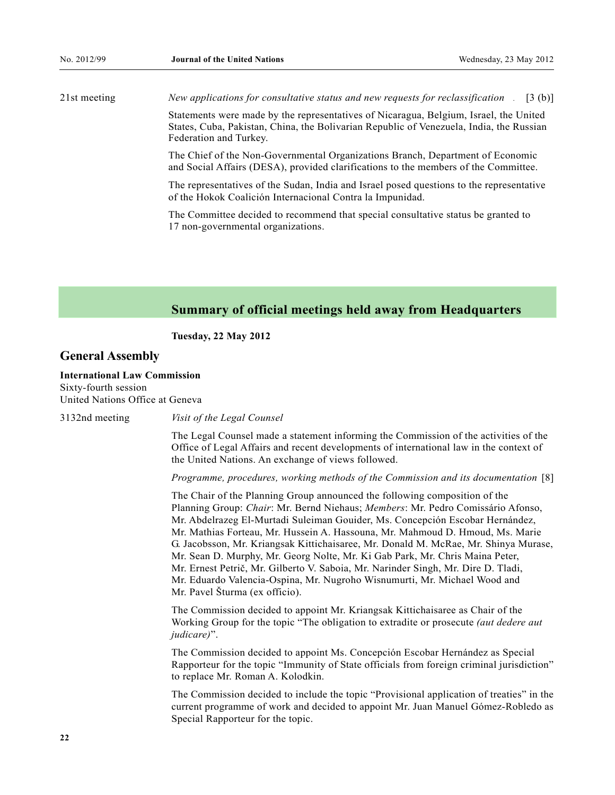21st meeting *New applications for consultative status and new requests for reclassification* . [3 (b)] Statements were made by the representatives of Nicaragua, Belgium, Israel, the United States, Cuba, Pakistan, China, the Bolivarian Republic of Venezuela, India, the Russian

> Federation and Turkey. The Chief of the Non-Governmental Organizations Branch, Department of Economic and Social Affairs (DESA), provided clarifications to the members of the Committee.

The representatives of the Sudan, India and Israel posed questions to the representative of the Hokok Coalición Internacional Contra la Impunidad.

The Committee decided to recommend that special consultative status be granted to 17 non-governmental organizations.

### **Summary of official meetings held away from Headquarters**

 **Tuesday, 22 May 2012** 

### **General Assembly**

#### **International Law Commission**

Sixty-fourth session United Nations Office at Geneva

3132nd meeting *Visit of the Legal Counsel*

 The Legal Counsel made a statement informing the Commission of the activities of the Office of Legal Affairs and recent developments of international law in the context of the United Nations. An exchange of views followed.

 *Programme, procedures, working methods of the Commission and its documentation* [8]

 The Chair of the Planning Group announced the following composition of the Planning Group: *Chair*: Mr. Bernd Niehaus; *Members*: Mr. Pedro Comissário Afonso, Mr. Abdelrazeg El-Murtadi Suleiman Gouider, Ms. Concepción Escobar Hernández, Mr. Mathias Forteau, Mr. Hussein A. Hassouna, Mr. Mahmoud D. Hmoud, Ms. Marie G. Jacobsson, Mr. Kriangsak Kittichaisaree, Mr. Donald M. McRae, Mr. Shinya Murase, Mr. Sean D. Murphy, Mr. Georg Nolte, Mr. Ki Gab Park, Mr. Chris Maina Peter, Mr. Ernest Petrič, Mr. Gilberto V. Saboia, Mr. Narinder Singh, Mr. Dire D. Tladi, Mr. Eduardo Valencia-Ospina, Mr. Nugroho Wisnumurti, Mr. Michael Wood and Mr. Pavel Šturma (ex officio).

 The Commission decided to appoint Mr. Kriangsak Kittichaisaree as Chair of the Working Group for the topic "The obligation to extradite or prosecute *(aut dedere aut judicare)*[.

 The Commission decided to appoint Ms. Concepción Escobar Hernández as Special Rapporteur for the topic "Immunity of State officials from foreign criminal jurisdiction" to replace Mr. Roman A. Kolodkin.

The Commission decided to include the topic "Provisional application of treaties" in the current programme of work and decided to appoint Mr. Juan Manuel Gómez-Robledo as Special Rapporteur for the topic.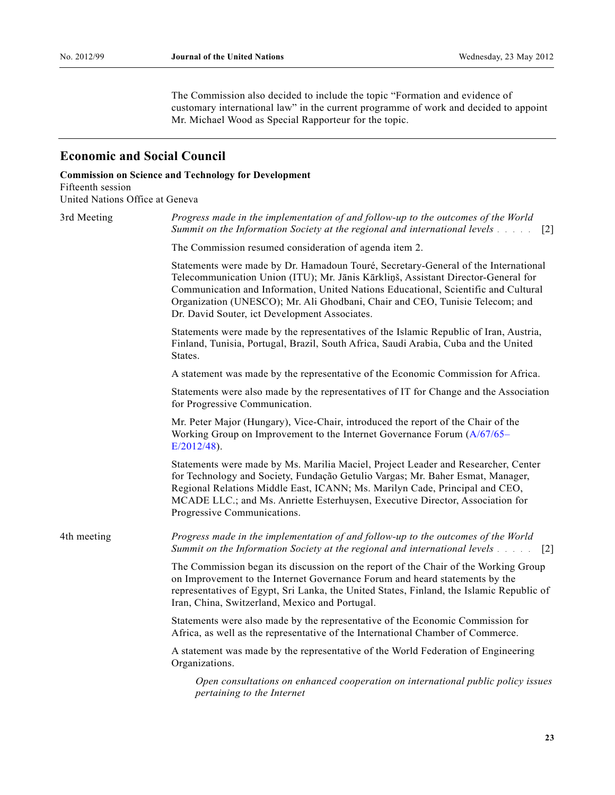The Commission also decided to include the topic "Formation and evidence of customary international law" in the current programme of work and decided to appoint Mr. Michael Wood as Special Rapporteur for the topic.

## **Economic and Social Council**

### **Commission on Science and Technology for Development**

Fifteenth session United Nations Office at Geneva

| 3rd Meeting | Progress made in the implementation of and follow-up to the outcomes of the World<br>Summit on the Information Society at the regional and international levels and the<br>$\lceil 2 \rceil$                                                                                                                                                                                                   |
|-------------|------------------------------------------------------------------------------------------------------------------------------------------------------------------------------------------------------------------------------------------------------------------------------------------------------------------------------------------------------------------------------------------------|
|             | The Commission resumed consideration of agenda item 2.                                                                                                                                                                                                                                                                                                                                         |
|             | Statements were made by Dr. Hamadoun Touré, Secretary-General of the International<br>Telecommunication Union (ITU); Mr. Jānis Kārkliņš, Assistant Director-General for<br>Communication and Information, United Nations Educational, Scientific and Cultural<br>Organization (UNESCO); Mr. Ali Ghodbani, Chair and CEO, Tunisie Telecom; and<br>Dr. David Souter, ict Development Associates. |
|             | Statements were made by the representatives of the Islamic Republic of Iran, Austria,<br>Finland, Tunisia, Portugal, Brazil, South Africa, Saudi Arabia, Cuba and the United<br>States.                                                                                                                                                                                                        |
|             | A statement was made by the representative of the Economic Commission for Africa.                                                                                                                                                                                                                                                                                                              |
|             | Statements were also made by the representatives of IT for Change and the Association<br>for Progressive Communication.                                                                                                                                                                                                                                                                        |
|             | Mr. Peter Major (Hungary), Vice-Chair, introduced the report of the Chair of the<br>Working Group on Improvement to the Internet Governance Forum (A/67/65–<br>$E/2012/48$ ).                                                                                                                                                                                                                  |
|             | Statements were made by Ms. Marilia Maciel, Project Leader and Researcher, Center<br>for Technology and Society, Fundação Getulio Vargas; Mr. Baher Esmat, Manager,<br>Regional Relations Middle East, ICANN; Ms. Marilyn Cade, Principal and CEO,<br>MCADE LLC.; and Ms. Anriette Esterhuysen, Executive Director, Association for<br>Progressive Communications.                             |
| 4th meeting | Progress made in the implementation of and follow-up to the outcomes of the World<br>Summit on the Information Society at the regional and international levels<br>$\lceil 2 \rceil$                                                                                                                                                                                                           |
|             | The Commission began its discussion on the report of the Chair of the Working Group<br>on Improvement to the Internet Governance Forum and heard statements by the<br>representatives of Egypt, Sri Lanka, the United States, Finland, the Islamic Republic of<br>Iran, China, Switzerland, Mexico and Portugal.                                                                               |
|             | Statements were also made by the representative of the Economic Commission for<br>Africa, as well as the representative of the International Chamber of Commerce.                                                                                                                                                                                                                              |
|             | A statement was made by the representative of the World Federation of Engineering<br>Organizations.                                                                                                                                                                                                                                                                                            |
|             | Open consultations on enhanced cooperation on international public policy issues<br>pertaining to the Internet                                                                                                                                                                                                                                                                                 |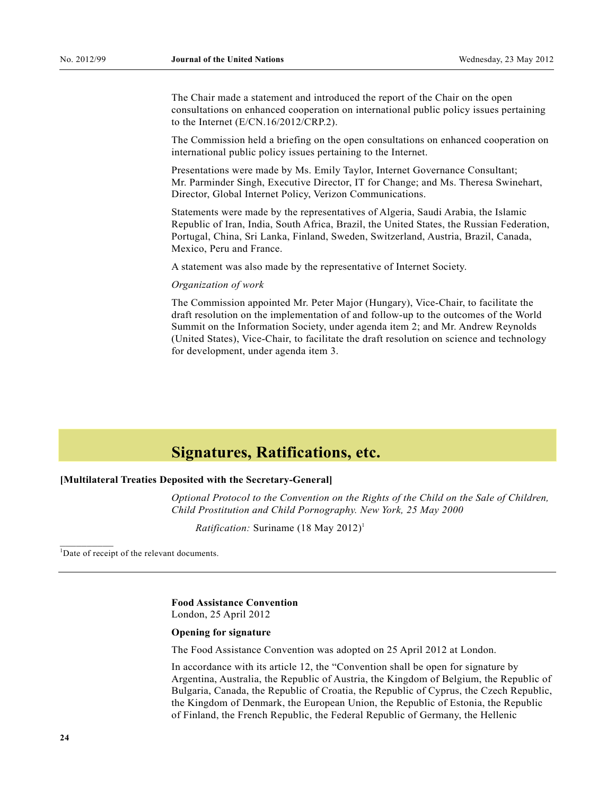The Chair made a statement and introduced the report of the Chair on the open consultations on enhanced cooperation on international public policy issues pertaining to the Internet (E/CN.16/2012/CRP.2).

 The Commission held a briefing on the open consultations on enhanced cooperation on international public policy issues pertaining to the Internet.

 Presentations were made by Ms. Emily Taylor, Internet Governance Consultant; Mr. Parminder Singh, Executive Director, IT for Change; and Ms. Theresa Swinehart, Director, Global Internet Policy, Verizon Communications.

 Statements were made by the representatives of Algeria, Saudi Arabia, the Islamic Republic of Iran, India, South Africa, Brazil, the United States, the Russian Federation, Portugal, China, Sri Lanka, Finland, Sweden, Switzerland, Austria, Brazil, Canada, Mexico, Peru and France.

A statement was also made by the representative of Internet Society.

#### *Organization of work*

 The Commission appointed Mr. Peter Major (Hungary), Vice-Chair, to facilitate the draft resolution on the implementation of and follow-up to the outcomes of the World Summit on the Information Society, under agenda item 2; and Mr. Andrew Reynolds (United States), Vice-Chair, to facilitate the draft resolution on science and technology for development, under agenda item 3.

## **Signatures, Ratifications, etc.**

### **[Multilateral Treaties Deposited with the Secretary-General]**

 *Optional Protocol to the Convention on the Rights of the Child on the Sale of Children, Child Prostitution and Child Pornography. New York, 25 May 2000*

*Ratification:* Suriname (18 May 2012)<sup>1</sup>

<sup>1</sup>Date of receipt of the relevant documents.

 $\frac{1}{2}$ 

 **Food Assistance Convention**  London, 25 April 2012

#### **Opening for signature**

The Food Assistance Convention was adopted on 25 April 2012 at London.

In accordance with its article 12, the "Convention shall be open for signature by Argentina, Australia, the Republic of Austria, the Kingdom of Belgium, the Republic of Bulgaria, Canada, the Republic of Croatia, the Republic of Cyprus, the Czech Republic, the Kingdom of Denmark, the European Union, the Republic of Estonia, the Republic of Finland, the French Republic, the Federal Republic of Germany, the Hellenic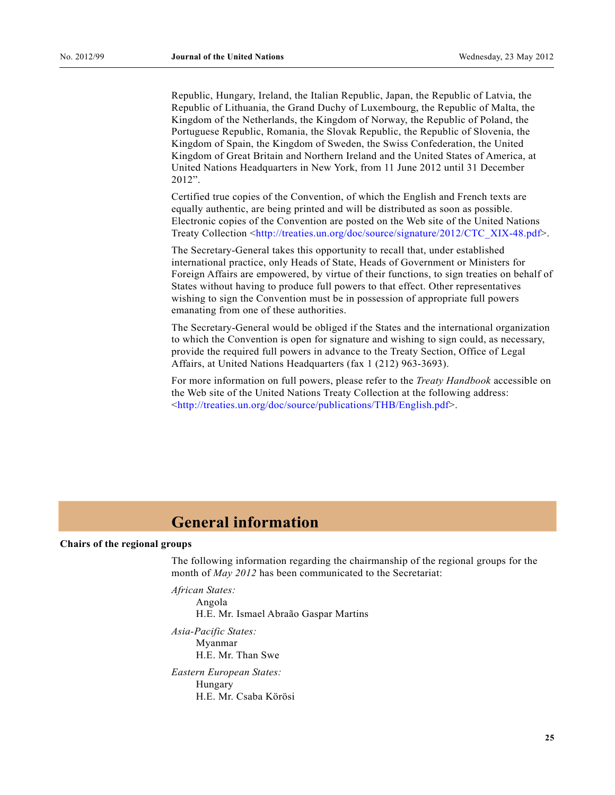Republic, Hungary, Ireland, the Italian Republic, Japan, the Republic of Latvia, the Republic of Lithuania, the Grand Duchy of Luxembourg, the Republic of Malta, the Kingdom of the Netherlands, the Kingdom of Norway, the Republic of Poland, the Portuguese Republic, Romania, the Slovak Republic, the Republic of Slovenia, the Kingdom of Spain, the Kingdom of Sweden, the Swiss Confederation, the United Kingdom of Great Britain and Northern Ireland and the United States of America, at United Nations Headquarters in New York, from 11 June 2012 until 31 December  $2012$ ".

 Certified true copies of the Convention, of which the English and French texts are equally authentic, are being printed and will be distributed as soon as possible. Electronic copies of the Convention are posted on the Web site of the United Nations Treaty Collection <[http://treaties.un.org/doc/source/signature/2012/CTC\\_XIX-48.pdf>](http://treaties.un.org/doc/source/signature/2012/CTC_XIX-48.pdf).

 The Secretary-General takes this opportunity to recall that, under established international practice, only Heads of State, Heads of Government or Ministers for Foreign Affairs are empowered, by virtue of their functions, to sign treaties on behalf of States without having to produce full powers to that effect. Other representatives wishing to sign the Convention must be in possession of appropriate full powers emanating from one of these authorities.

 The Secretary-General would be obliged if the States and the international organization to which the Convention is open for signature and wishing to sign could, as necessary, provide the required full powers in advance to the Treaty Section, Office of Legal Affairs, at United Nations Headquarters (fax 1 (212) 963-3693).

 For more information on full powers, please refer to the *Treaty Handbook* accessible on the Web site of the United Nations Treaty Collection at the following address: <<http://treaties.un.org/doc/source/publications/THB/English.pdf>>.

## **General information**

#### **Chairs of the regional groups**

The following information regarding the chairmanship of the regional groups for the month of *May 2012* has been communicated to the Secretariat:

*African States:* 

Angola H.E. Mr. Ismael Abraão Gaspar Martins

 *Asia-Pacific States:*  Myanmar H.E. Mr. Than Swe  *Eastern European States:*  Hungary H.E. Mr. Csaba Körösi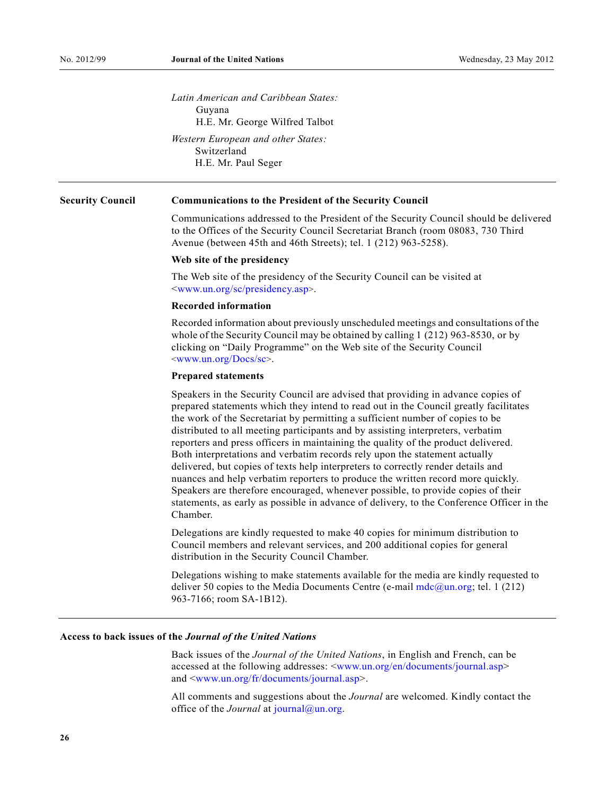*Latin American and Caribbean States:*  Guyana H.E. Mr. George Wilfred Talbot *Western European and other States:*  Switzerland H.E. Mr. Paul Seger

#### **Security Council Communications to the President of the Security Council**

 Communications addressed to the President of the Security Council should be delivered to the Offices of the Security Council Secretariat Branch (room 08083, 730 Third Avenue (between 45th and 46th Streets); tel. 1 (212) 963-5258).

#### **Web site of the presidency**

 The Web site of the presidency of the Security Council can be visited at <[www.un.org/sc/presidency.asp](http://www.un.org/sc/presidency.asp)>.

#### **Recorded information**

 Recorded information about previously unscheduled meetings and consultations of the whole of the Security Council may be obtained by calling 1 (212) 963-8530, or by clicking on "Daily Programme" on the Web site of the Security Council <[www.un.org/Docs/sc](http://www.un.org/Docs/sc)>.

#### **Prepared statements**

 Speakers in the Security Council are advised that providing in advance copies of prepared statements which they intend to read out in the Council greatly facilitates the work of the Secretariat by permitting a sufficient number of copies to be distributed to all meeting participants and by assisting interpreters, verbatim reporters and press officers in maintaining the quality of the product delivered. Both interpretations and verbatim records rely upon the statement actually delivered, but copies of texts help interpreters to correctly render details and nuances and help verbatim reporters to produce the written record more quickly. Speakers are therefore encouraged, whenever possible, to provide copies of their statements, as early as possible in advance of delivery, to the Conference Officer in the Chamber.

 Delegations are kindly requested to make 40 copies for minimum distribution to Council members and relevant services, and 200 additional copies for general distribution in the Security Council Chamber.

 Delegations wishing to make statements available for the media are kindly requested to deliver 50 copies to the Media Documents Centre (e-mail  $mdc@un.org$ ; tel. 1 (212) 963-7166; room SA-1B12).

#### **Access to back issues of the** *Journal of the United Nations*

 Back issues of the *Journal of the United Nations*, in English and French, can be accessed at the following addresses: [<www.un.org/en/documents/journal.asp](http://www.un.org/en/documents/journal.asp)> and <[www.un.org/fr/documents/journal.asp](http://www.un.org/fr/documents/journal.asp)>.

 All comments and suggestions about the *Journal* are welcomed. Kindly contact the office of the *Journal* at *[journal@un.org.](mailto:journal@un.org)*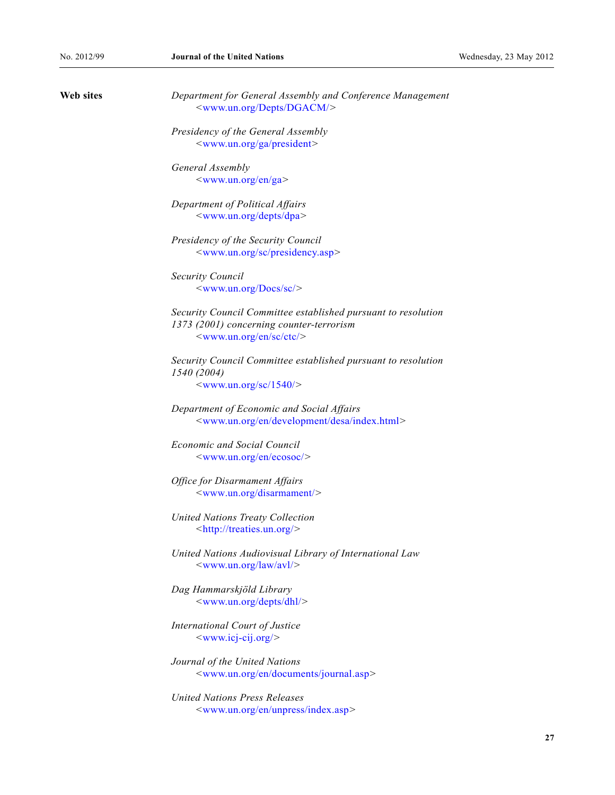| Web sites | Department for General Assembly and Conference Management<br><www.un.org depts="" dgacm=""></www.un.org> |
|-----------|----------------------------------------------------------------------------------------------------------|
|           | Presidency of the General Assembly                                                                       |
|           | <www.un.org ga="" president=""></www.un.org>                                                             |
|           | General Assembly                                                                                         |
|           | <www.un.org en="" ga=""></www.un.org>                                                                    |
|           | Department of Political Affairs                                                                          |
|           | <www.un.org depts="" dpa=""></www.un.org>                                                                |
|           | Presidency of the Security Council                                                                       |
|           | <www.un.org presidency.asp="" sc=""></www.un.org>                                                        |
|           | <b>Security Council</b>                                                                                  |
|           | $\langle$ www.un.org/Docs/sc/ $>$                                                                        |
|           | Security Council Committee established pursuant to resolution                                            |
|           | 1373 (2001) concerning counter-terrorism                                                                 |
|           | <www.un.org ctc="" en="" sc=""></www.un.org>                                                             |
|           | Security Council Committee established pursuant to resolution                                            |
|           | 1540 (2004)<br>$\langle$ www.un.org/sc/1540/ $>$                                                         |
|           |                                                                                                          |
|           | Department of Economic and Social Affairs                                                                |
|           | <www.un.org desa="" development="" en="" index.html=""></www.un.org>                                     |
|           | <b>Economic and Social Council</b>                                                                       |
|           | <www.un.org ecosoc="" en=""></www.un.org>                                                                |
|           | <b>Office for Disarmament Affairs</b>                                                                    |
|           | <www.un.org disarmament=""></www.un.org>                                                                 |
|           | <b>United Nations Treaty Collection</b><br><http: treaties.un.org=""></http:>                            |
|           |                                                                                                          |
|           | United Nations Audiovisual Library of International Law<br>$\langle$ www.un.org/law/avl/ $>$             |
|           | Dag Hammarskjöld Library                                                                                 |
|           | <www.un.org depts="" dhl=""></www.un.org>                                                                |
|           | International Court of Justice                                                                           |
|           | $\langle$ www.icj-cij.org/>                                                                              |
|           | Journal of the United Nations                                                                            |
|           | <www.un.org documents="" en="" journal.asp=""></www.un.org>                                              |
|           | United Nations Press Releases                                                                            |
|           | <www.un.org en="" index.asp="" unpress=""></www.un.org>                                                  |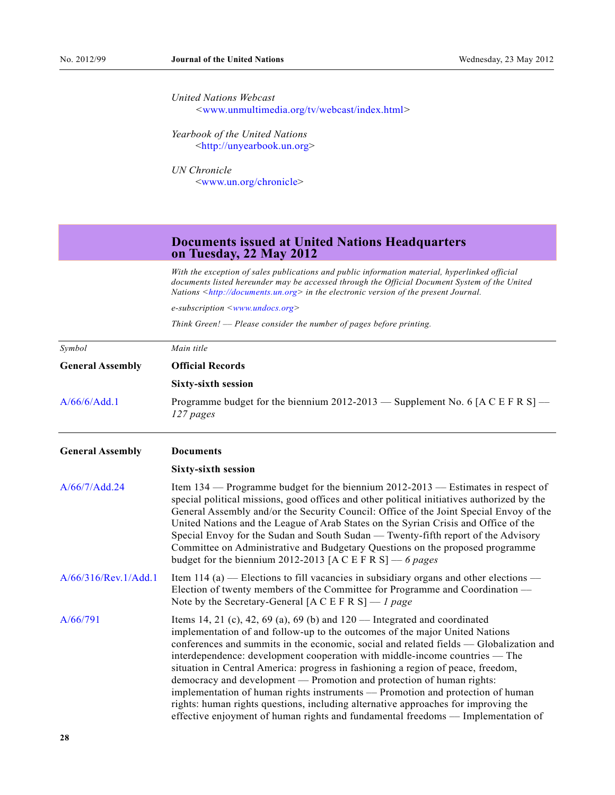| United Nations Webcast                                |
|-------------------------------------------------------|
| $\langle$ www.unmultimedia.org/tv/webcast/index.html> |

 *Yearbook of the United Nations*  <[http://unyearbook.un.org>](http://unyearbook.un.org/)

 *UN Chronicle*  <[www.un.org/chronicle](http://www.un.org/chronicle)>

### **Documents issued at United Nations Headquarters on Tuesday, 22 May 2012**

 *With the exception of sales publications and public information material, hyperlinked official documents listed hereunder may be accessed through the Official Document System of the United Nations <[http://documents.un.org](http://documents.un.org/)> in the electronic version of the present Journal.* 

 *e-subscription <[www.undocs.org>](http://www.undocs.org/)* 

 *Think Green! –– Please consider the number of pages before printing.* 

| Symbol<br><b>General Assembly</b> | Main title                                                                                                                                                                                                                                                                                                                                                                                                                                                                                                                                                                                                                                                                                                                                                   |  |
|-----------------------------------|--------------------------------------------------------------------------------------------------------------------------------------------------------------------------------------------------------------------------------------------------------------------------------------------------------------------------------------------------------------------------------------------------------------------------------------------------------------------------------------------------------------------------------------------------------------------------------------------------------------------------------------------------------------------------------------------------------------------------------------------------------------|--|
|                                   | <b>Official Records</b>                                                                                                                                                                                                                                                                                                                                                                                                                                                                                                                                                                                                                                                                                                                                      |  |
|                                   | <b>Sixty-sixth session</b>                                                                                                                                                                                                                                                                                                                                                                                                                                                                                                                                                                                                                                                                                                                                   |  |
| A/66/6/Add.1                      | Programme budget for the biennium 2012-2013 — Supplement No. 6 [A C E F R S] —<br>127 pages                                                                                                                                                                                                                                                                                                                                                                                                                                                                                                                                                                                                                                                                  |  |
| <b>General Assembly</b>           | <b>Documents</b>                                                                                                                                                                                                                                                                                                                                                                                                                                                                                                                                                                                                                                                                                                                                             |  |
|                                   | <b>Sixty-sixth session</b>                                                                                                                                                                                                                                                                                                                                                                                                                                                                                                                                                                                                                                                                                                                                   |  |
| A/66/7/Add.24                     | Item $134$ — Programme budget for the biennium $2012-2013$ — Estimates in respect of<br>special political missions, good offices and other political initiatives authorized by the<br>General Assembly and/or the Security Council: Office of the Joint Special Envoy of the<br>United Nations and the League of Arab States on the Syrian Crisis and Office of the<br>Special Envoy for the Sudan and South Sudan — Twenty-fifth report of the Advisory<br>Committee on Administrative and Budgetary Questions on the proposed programme<br>budget for the biennium 2012-2013 [A C E F R S] — 6 pages                                                                                                                                                       |  |
| A/66/316/Rev.1/Add.1              | Item 114 (a) — Elections to fill vacancies in subsidiary organs and other elections —<br>Election of twenty members of the Committee for Programme and Coordination —<br>Note by the Secretary-General [A C E F R S] — 1 page                                                                                                                                                                                                                                                                                                                                                                                                                                                                                                                                |  |
| A/66/791                          | Items 14, 21 (c), 42, 69 (a), 69 (b) and $120$ — Integrated and coordinated<br>implementation of and follow-up to the outcomes of the major United Nations<br>conferences and summits in the economic, social and related fields — Globalization and<br>interdependence: development cooperation with middle-income countries — The<br>situation in Central America: progress in fashioning a region of peace, freedom,<br>democracy and development — Promotion and protection of human rights:<br>implementation of human rights instruments — Promotion and protection of human<br>rights: human rights questions, including alternative approaches for improving the<br>effective enjoyment of human rights and fundamental freedoms — Implementation of |  |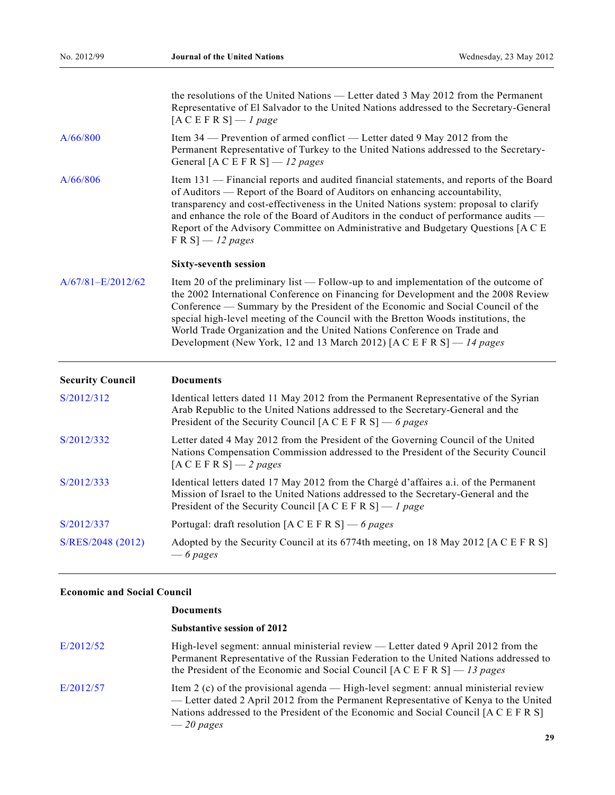|                         | the resolutions of the United Nations — Letter dated 3 May 2012 from the Permanent<br>Representative of El Salvador to the United Nations addressed to the Secretary-General<br>$[ACEFR S] - I page$                                                                                                                                                                                                                                                                                                   |  |
|-------------------------|--------------------------------------------------------------------------------------------------------------------------------------------------------------------------------------------------------------------------------------------------------------------------------------------------------------------------------------------------------------------------------------------------------------------------------------------------------------------------------------------------------|--|
| A/66/800                | Item 34 — Prevention of armed conflict — Letter dated 9 May 2012 from the<br>Permanent Representative of Turkey to the United Nations addressed to the Secretary-<br>General [A C E F R S] $-12$ pages                                                                                                                                                                                                                                                                                                 |  |
| A/66/806                | Item 131 — Financial reports and audited financial statements, and reports of the Board<br>of Auditors — Report of the Board of Auditors on enhancing accountability,<br>transparency and cost-effectiveness in the United Nations system: proposal to clarify<br>and enhance the role of the Board of Auditors in the conduct of performance audits -<br>Report of the Advisory Committee on Administrative and Budgetary Questions [A C E<br>$F R S$ – 12 pages                                      |  |
|                         | <b>Sixty-seventh session</b>                                                                                                                                                                                                                                                                                                                                                                                                                                                                           |  |
| A/67/81-E/2012/62       | Item 20 of the preliminary list — Follow-up to and implementation of the outcome of<br>the 2002 International Conference on Financing for Development and the 2008 Review<br>Conference — Summary by the President of the Economic and Social Council of the<br>special high-level meeting of the Council with the Bretton Woods institutions, the<br>World Trade Organization and the United Nations Conference on Trade and<br>Development (New York, 12 and 13 March 2012) [A C E F R S] — 14 pages |  |
| <b>Security Council</b> | <b>Documents</b>                                                                                                                                                                                                                                                                                                                                                                                                                                                                                       |  |
| S/2012/312              | Identical letters dated 11 May 2012 from the Permanent Representative of the Syrian<br>Arab Republic to the United Nations addressed to the Secretary-General and the<br>President of the Security Council [A C E F R S] — 6 pages                                                                                                                                                                                                                                                                     |  |
| S/2012/332              | Letter dated 4 May 2012 from the President of the Governing Council of the United<br>Nations Compensation Commission addressed to the President of the Security Council<br>$[A C E F R S] - 2 pages$                                                                                                                                                                                                                                                                                                   |  |
| S/2012/333              | Identical letters dated 17 May 2012 from the Chargé d'affaires a.i. of the Permanent<br>Mission of Israel to the United Nations addressed to the Secretary-General and the<br>President of the Security Council [A C E F R S] $-1$ page                                                                                                                                                                                                                                                                |  |
| S/2012/337              | Portugal: draft resolution [A C E F R S] — 6 pages                                                                                                                                                                                                                                                                                                                                                                                                                                                     |  |
| S/RES/2048 (2012)       | Adopted by the Security Council at its 6774th meeting, on 18 May 2012 [A C E F R S]<br>$-6$ pages                                                                                                                                                                                                                                                                                                                                                                                                      |  |

### **Economic and Social Council**

|           | <b>Documents</b>                                                                                                                                                                                                                                                                     |
|-----------|--------------------------------------------------------------------------------------------------------------------------------------------------------------------------------------------------------------------------------------------------------------------------------------|
|           | <b>Substantive session of 2012</b>                                                                                                                                                                                                                                                   |
| E/2012/52 | High-level segment: annual ministerial review — Letter dated 9 April 2012 from the<br>Permanent Representative of the Russian Federation to the United Nations addressed to<br>the President of the Economic and Social Council $[A C E F R S] - I3 pages$                           |
| E/2012/57 | Item $2$ (c) of the provisional agenda — High-level segment: annual ministerial review<br>— Letter dated 2 April 2012 from the Permanent Representative of Kenya to the United<br>Nations addressed to the President of the Economic and Social Council [A C E F R S]<br>$-20$ pages |